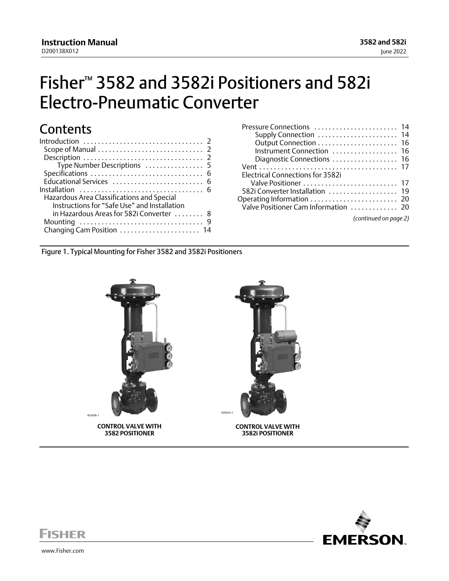# <span id="page-0-0"></span>Fisher™ 3582 and 3582i Positioners and 582i Electro‐Pneumatic Converter

# **Contents**

| Type Number Descriptions  5              |
|------------------------------------------|
|                                          |
| Educational Services  6                  |
|                                          |
|                                          |
|                                          |
|                                          |
|                                          |
| Changing Cam Position  14                |
| in Hazardous Areas for 582i Converter  8 |

Figure 1. Typical Mounting for Fisher 3582 and 3582i Positioners



**CONTROL VALVE WITH 3582 POSITIONER**



**CONTROL VALVE WITH 3582i POSITIONER**



**FISHER** 

www.Fisher.com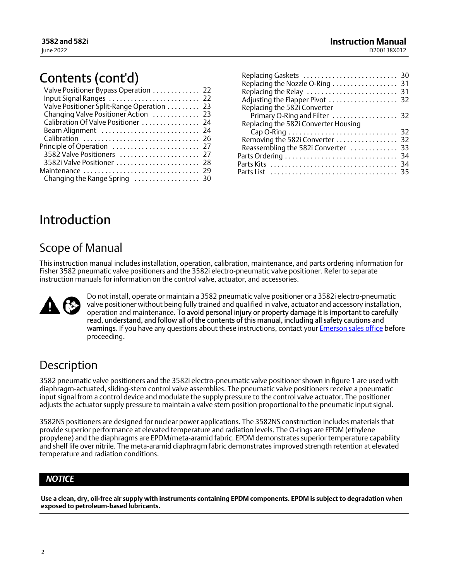# <span id="page-1-0"></span>Contents (cont'd)

| Valve Positioner Bypass Operation  22     |
|-------------------------------------------|
| Input Signal Ranges  22                   |
| Valve Positioner Split-Range Operation 23 |
| Changing Valve Positioner Action  23      |
| Calibration Of Valve Positioner  24       |
| Beam Alignment  24                        |
| Calibration  26                           |
|                                           |
| 3582 Valve Positioners  27                |
| 3582i Valve Positioner  28                |
| Maintenance  29                           |
| Changing the Range Spring  30             |
|                                           |

| Adjusting the Flapper Pivot  32      |  |
|--------------------------------------|--|
| Replacing the 582i Converter         |  |
| Primary O-Ring and Filter  32        |  |
| Replacing the 582i Converter Housing |  |
|                                      |  |
| Removing the 582i Converter  32      |  |
| Reassembling the 582i Converter  33  |  |
|                                      |  |
|                                      |  |
|                                      |  |

# Introduction

## Scope of Manual

This instruction manual includes installation, operation, calibration, maintenance, and parts ordering information for Fisher 3582 pneumatic valve positioners and the 3582i electro-pneumatic valve positioner. Refer to separate instruction manuals for information on the control valve, actuator, and accessories.



Do not install, operate or maintain a 3582 pneumatic valve positioner or a 3582i electro‐pneumatic valve positioner without being fully trained and qualified in valve, actuator and accessory installation, operation and maintenance. To avoid personal injury or property damage it is important to carefully read, understand, and follow all of the contents of this manual, including all safety cautions and warnings. If you have any questions about these instructions, contact your [Emerson sales office](http://www.emerson.com/en-us/contact-us) before proceeding.

## Description

3582 pneumatic valve positioners and the 3582i electro‐pneumatic valve positioner shown in figure [1](#page-0-0) are used with diaphragm‐actuated, sliding‐stem control valve assemblies. The pneumatic valve positioners receive a pneumatic input signal from a control device and modulate the supply pressure to the control valve actuator. The positioner adjusts the actuator supply pressure to maintain a valve stem position proportional to the pneumatic input signal.

3582NS positioners are designed for nuclear power applications. The 3582NS construction includes materials that provide superior performance at elevated temperature and radiation levels. The O‐rings are EPDM (ethylene propylene) and the diaphragms are EPDM/meta-aramid fabric. EPDM demonstrates superior temperature capability and shelf life over nitrile. The meta‐aramid diaphragm fabric demonstrates improved strength retention at elevated temperature and radiation conditions.

## *NOTICE*

**Use a clean, dry, oil‐free air supply with instruments containing EPDM components. EPDM is subject to degradation when exposed to petroleum‐based lubricants.**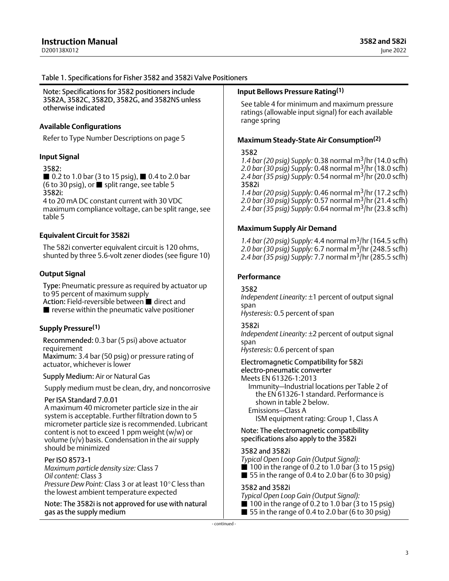### <span id="page-2-0"></span>Table 1. Specifications for Fisher 3582 and 3582i Valve Positioners

Note: Specifications for 3582 positioners include 3582A, 3582C, 3582D, 3582G, and 3582NS unless otherwise indicated

### **Available Configurations**

Refer to Type Number Descriptions on page [5](#page-4-0)

### **Input Signal**

#### 3582:

table [5](#page-22-0)

■ 0.2 to 1.0 bar (3 to 15 psig), ■ 0.4 to 2.0 bar (6 to 30 psig), or  $\blacksquare$  split range, see table [5](#page-22-0) 3582i: 4 to 20 mA DC constant current with 30 VDC maximum compliance voltage, can be split range, see

#### **Equivalent Circuit for 3582i**

The 582i converter equivalent circuit is 120 ohms, shunted by three 5.6‐volt zener diodes (see figure [10](#page-17-0))

#### **Output Signal**

Type: Pneumatic pressure as required by actuator up to 95 percent of maximum supply

Action: Field-reversible between ■ direct and

 $\blacksquare$  reverse within the pneumatic valve positioner

## **Supply Pressure[\(1\)](#page-3-0)**

Recommended: 0.3 bar (5 psi) above actuator requirement

Maximum: 3.4 bar (50 psig) or pressure rating of actuator, whichever is lower

Supply Medium: Air or Natural Gas

Supply medium must be clean, dry, and noncorrosive

### Per ISA Standard 7.0.01

A maximum 40 micrometer particle size in the air system is acceptable. Further filtration down to 5 micrometer particle size is recommended. Lubricant content is not to exceed 1 ppm weight (w/w) or volume (v/v) basis. Condensation in the air supply should be minimized

### Per ISO 8573-1

*Maximum particle density size:* Class 7 *Oil content:* Class 3 *Pressure Dew Point: Class 3 or at least 10°C less than* the lowest ambient temperature expected

Note: The 3582i is not approved for use with natural gas as the supply medium

### **Input Bellows Pressure Rating([1](#page-3-0))**

See table [4](#page-21-0) for minimum and maximum pressure ratings (allowable input signal) for each available range spring

#### **Maximum Steady‐State Air Consumption[\(2\)](#page-3-0)**

#### 3582

*1.4 bar (20 psig) Supply:* 0.38 normal m3/hr (14.0 scfh) *2.0 bar (30 psig) Supply:* 0.48 normal m3/hr (18.0 scfh) *2.4 bar (35 psig) Supply:* 0.54 normal m3/hr (20.0 scfh) 3582i

*1.4 bar (20 psig) Supply:* 0.46 normal m3/hr (17.2 scfh) *2.0 bar (30 psig) Supply:* 0.57 normal m3/hr (21.4 scfh) *2.4 bar (35 psig) Supply:* 0.64 normal m3/hr (23.8 scfh)

#### **Maximum Supply Air Demand**

*1.4 bar (20 psig) Supply:* 4.4 normal m3/hr (164.5 scfh) *2.0 bar (30 psig) Supply:* 6.7 normal m3/hr (248.5 scfh) *2.4 bar (35 psig) Supply:* 7.7 normal m3/hr (285.5 scfh)

#### **Performance**

3582

*Independent Linearity:* ±1 percent of output signal span

*Hysteresis:* 0.5 percent of span

### 3582i

*Independent Linearity:* ±2 percent of output signal span

*Hysteresis:* 0.6 percent of span

Electromagnetic Compatibility for 582i

electro‐pneumatic converter

Meets EN 61326‐1:2013

Immunity—Industrial locations per Table 2 of the EN 61326‐1 standard. Performance is shown in table [2](#page-4-0) below. Emissions—Class A

ISM equipment rating: Group 1, Class A

Note: The electromagnetic compatibility specifications also apply to the 3582i

#### 3582 and 3582i

*Typical Open Loop Gain (Output Signal):*

- $\blacksquare$  100 in the range of 0.2 to 1.0 bar (3 to 15 psig)
- $\blacksquare$  55 in the range of 0.4 to 2.0 bar (6 to 30 psig)

#### 3582 and 3582i

*Typical Open Loop Gain (Output Signal):*

- $\blacksquare$  100 in the range of 0.2 to 1.0 bar (3 to 15 psig)
- $\blacksquare$  55 in the range of 0.4 to 2.0 bar (6 to 30 psig)

‐ continued ‐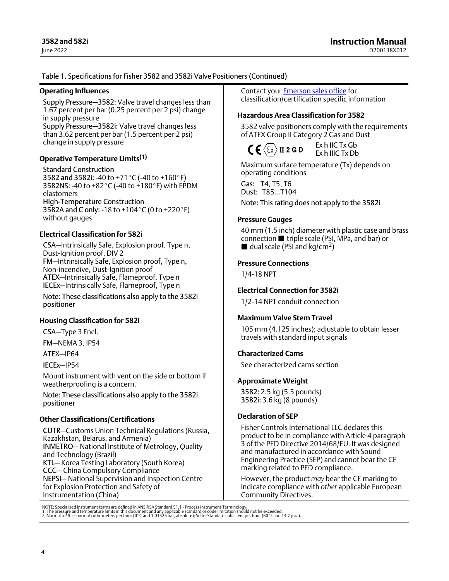### <span id="page-3-0"></span>Table [1.](#page-2-0) Specifications for Fisher 3582 and 3582i Valve Positioners (Continued)

#### **Operating Influences**

Supply Pressure—3582: Valve travel changes less than 1.67 percent per bar (0.25 percent per 2 psi) change in supply pressure

Supply Pressure—3582i: Valve travel changes less than 3.62 percent per bar (1.5 percent per 2 psi) change in supply pressure

### **Operative Temperature Limits(1)**

Standard Construction 3582 and 3582i: -40 to +71°C (-40 to +160°F) 3582NS: -40 to +82 °C (-40 to +180 °F) with EPDM elastomers High‐Temperature Construction 3582A and C only: -18 to +104 $\degree$ C (0 to +220 $\degree$ F) without gauges

### **Electrical Classification for 582i**

CSA—Intrinsically Safe, Explosion proof, Type n, Dust-Ignition proof, DIV 2 FM—Intrinsically Safe, Explosion proof, Type n, Non‐incendive, Dust‐Ignition proof ATEX—Intrinsically Safe, Flameproof, Type n IECEx—Intrinsically Safe, Flameproof, Type n

Note: These classifications also apply to the 3582i positioner

### **Housing Classification for 582i**

CSA—Type 3 Encl.

FM—NEMA 3, IP54

ATEX—IP64

IECEx—IP54

Mount instrument with vent on the side or bottom if weatherproofing is a concern.

Note: These classifications also apply to the 3582i positioner

### **Other Classifications/Certifications**

CUTR—Customs Union Technical Regulations (Russia, Kazakhstan, Belarus, and Armenia) INMETRO— National Institute of Metrology, Quality and Technology (Brazil) KTL— Korea Testing Laboratory (South Korea) CCC— China Compulsory Compliance NEPSI— National Supervision and Inspection Centre for Explosion Protection and Safety of Instrumentation (China)

Contact your [Emerson sales office](http://www.emerson.com/en-us/contact-us) for classification/certification specific information

### **Hazardous Area Classification for 3582**

3582 valve positioners comply with the requirements of ATEX Group II Category 2 Gas and Dust



Ex h IIC Tx Gb Ex h IIIC Tx Db

Maximum surface temperature (Tx) depends on operating conditions

Gas: T4, T5, T6 Dust: T85...T104

Note: This rating does not apply to the 3582i

### **Pressure Gauges**

40 mm (1.5 inch) diameter with plastic case and brass connection **triple scale (PSI, MPa, and bar)** or dual scale (PSI and kg/cm<sup>2</sup>)

### **Pressure Connections**

1/4‐18 NPT

## **Electrical Connection for 3582i**

1/2‐14 NPT conduit connection

### **Maximum Valve Stem Travel**

105 mm (4.125 inches); adjustable to obtain lesser travels with standard input signals

### **Characterized Cams**

See characterized cams section

### **Approximate Weight**

3582: 2.5 kg (5.5 pounds) 3582i: 3.6 kg (8 pounds)

### **Declaration of SEP**

Fisher Controls International LLC declares this product to be in compliance with Article 4 paragraph 3 of the PED Directive 2014/68/EU. It was designed and manufactured in accordance with Sound Engineering Practice (SEP) and cannot bear the CE marking related to PED compliance.

However, the product *may* bear the CE marking to indicate compliance with *other* applicable European Community Directives.

NOTE: Specialized instrument terms are defined in ANSI/ISA Standard 51.1 - Process Instrument Terminology.<br>1. The pressure and temperature limits in this document and any applicable standard or code limitation should not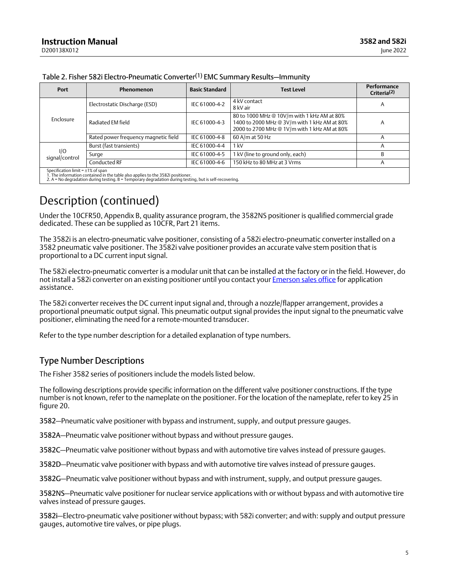| Port                                                                                                                       | Phenomenon                           | <b>Basic Standard</b> | <b>Test Level</b>                                                                                                                           | Performance<br>Criteria <sup>(2)</sup> |  |  |  |  |
|----------------------------------------------------------------------------------------------------------------------------|--------------------------------------|-----------------------|---------------------------------------------------------------------------------------------------------------------------------------------|----------------------------------------|--|--|--|--|
|                                                                                                                            | Electrostatic Discharge (ESD)        | IEC 61000-4-2         | 4 kV contact<br>8 kV air                                                                                                                    | A                                      |  |  |  |  |
| Enclosure                                                                                                                  | Radiated EM field                    | IEC 61000-4-3         | 80 to 1000 MHz @ 10V/m with 1 kHz AM at 80%<br>1400 to 2000 MHz @ 3V/m with 1 kHz AM at 80%<br>2000 to 2700 MHz @ 1V/m with 1 kHz AM at 80% | A                                      |  |  |  |  |
|                                                                                                                            | Rated power frequency magnetic field | IEC 61000-4-8         | 60 A/m at 50 Hz                                                                                                                             |                                        |  |  |  |  |
|                                                                                                                            | Burst (fast transients)              | IEC 61000-4-4         | 1 kV                                                                                                                                        |                                        |  |  |  |  |
| I/O<br>signal/control                                                                                                      | Surge                                | IEC 61000-4-5         | 1 kV (line to ground only, each)                                                                                                            | R                                      |  |  |  |  |
|                                                                                                                            | Conducted RF                         | IEC 61000-4-6         | 150 kHz to 80 MHz at 3 Vrms                                                                                                                 | A                                      |  |  |  |  |
| Specification limit = $\pm 1\%$ of span<br>1. The information contained in the table also applies to the 3582i positioner. |                                      |                       |                                                                                                                                             |                                        |  |  |  |  |

<span id="page-4-0"></span>

| Table 2. Fisher 582i Electro-Pneumatic Converter <sup>(1)</sup> EMC Summary Results-Immunity |
|----------------------------------------------------------------------------------------------|
|----------------------------------------------------------------------------------------------|

1. The information contained in the table also applies to the 3582i positioner. 2. A = No degradation during testing. B = Temporary degradation during testing, but is self‐recovering.

## Description (continued)

Under the 10CFR50, Appendix B, quality assurance program, the 3582NS positioner is qualified commercial grade dedicated. These can be supplied as 10CFR, Part 21 items.

The 3582i is an electro-pneumatic valve positioner, consisting of a 582i electro-pneumatic converter installed on a 3582 pneumatic valve positioner. The 3582i valve positioner provides an accurate valve stem position that is proportional to a DC current input signal.

The 582i electro‐pneumatic converter is a modular unit that can be installed at the factory or in the field. However, do not install a 582i converter on an existing positioner until you contact your [Emerson sales office](http://www.emerson.com/en-us/contact-us) for application assistance.

The 582i converter receives the DC current input signal and, through a nozzle/flapper arrangement, provides a proportional pneumatic output signal. This pneumatic output signal provides the input signal to the pneumatic valve positioner, eliminating the need for a remote‐mounted transducer.

Refer to the type number description for a detailed explanation of type numbers.

## Type Number Descriptions

The Fisher 3582 series of positioners include the models listed below.

The following descriptions provide specific information on the different valve positioner constructions. If the type number is not known, refer to the nameplate on the positioner. For the location of the nameplate, refer to key 25 in figure [20](#page-35-0).

3582—Pneumatic valve positioner with bypass and instrument, supply, and output pressure gauges.

3582A—Pneumatic valve positioner without bypass and without pressure gauges.

3582C—Pneumatic valve positioner without bypass and with automotive tire valves instead of pressure gauges.

3582D—Pneumatic valve positioner with bypass and with automotive tire valves instead of pressure gauges.

3582G—Pneumatic valve positioner without bypass and with instrument, supply, and output pressure gauges.

3582NS—Pneumatic valve positioner for nuclear service applications with or without bypass and with automotive tire valves instead of pressure gauges.

3582i—Electro‐pneumatic valve positioner without bypass; with 582i converter; and with: supply and output pressure gauges, automotive tire valves, or pipe plugs.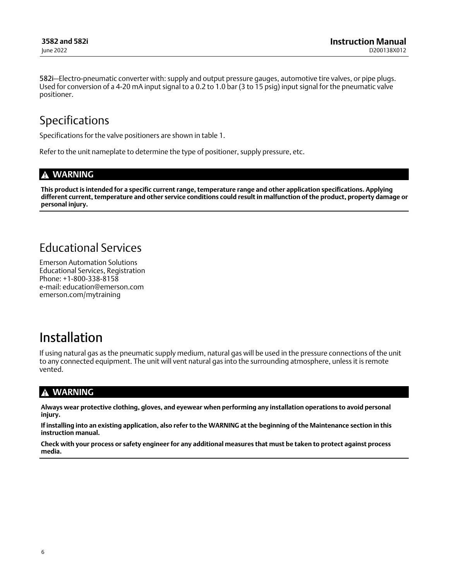<span id="page-5-0"></span>582i—Electro‐pneumatic converter with: supply and output pressure gauges, automotive tire valves, or pipe plugs. Used for conversion of a 4‐20 mA input signal to a 0.2 to 1.0 bar (3 to 15 psig) input signal for the pneumatic valve positioner.

## Specifications

Specifications for the valve positioners are shown in table [1](#page-2-0).

Refer to the unit nameplate to determine the type of positioner, supply pressure, etc.

## **WARNING**

**This product is intended for a specific current range, temperature range and other application specifications. Applying different current, temperature and other service conditions could result in malfunction of the product, property damage or personal injury.**

## Educational Services

Emerson Automation Solutions Educational Services, Registration Phone: +1-800-338-8158 e‐mail: education@emerson.com emerson.com/mytraining

# Installation

If using natural gas as the pneumatic supply medium, natural gas will be used in the pressure connections of the unit to any connected equipment. The unit will vent natural gas into the surrounding atmosphere, unless it is remote vented.

## **WARNING**

**Always wear protective clothing, gloves, and eyewear when performing any installation operations to avoid personal injury.**

**If installing into an existing application, also refer to the WARNING at the beginning of the Maintenance section in this instruction manual.**

**Check with your process or safety engineer for any additional measures that must be taken to protect against process media.**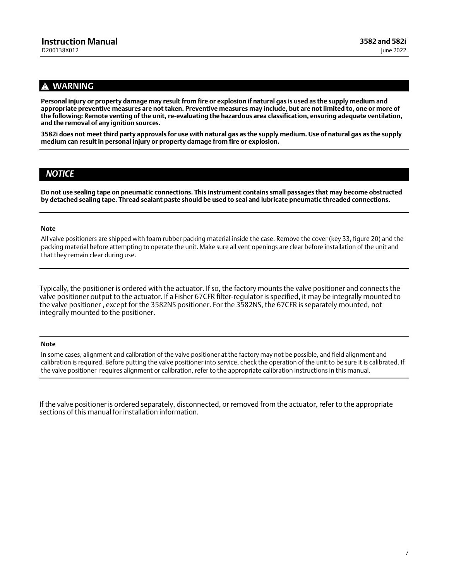## **WARNING**

**Personal injury or property damage may result from fire or explosion if natural gas is used as the supply medium and appropriate preventive measures are not taken. Preventive measures may include, but are not limited to, one or more of the following: Remote venting of the unit, re‐evaluating the hazardous area classification, ensuring adequate ventilation, and the removal of any ignition sources.**

**3582i does not meet third party approvals for use with natural gas as the supply medium. Use of natural gas as the supply medium can result in personal injury or property damage from fire or explosion.**

## *NOTICE*

**Do not use sealing tape on pneumatic connections. This instrument contains small passages that may become obstructed by detached sealing tape. Thread sealant paste should be used to seal and lubricate pneumatic threaded connections.**

#### **Note**

All valve positioners are shipped with foam rubber packing material inside the case. Remove the cover (key 33, figure [20](#page-35-0)) and the packing material before attempting to operate the unit. Make sure all vent openings are clear before installation of the unit and that they remain clear during use.

Typically, the positioner is ordered with the actuator. If so, the factory mounts the valve positioner and connects the valve positioner output to the actuator. If a Fisher 67CFR filter‐regulator is specified, it may be integrally mounted to the valve positioner , except for the 3582NS positioner. For the 3582NS, the 67CFR is separately mounted, not integrally mounted to the positioner.

#### **Note**

In some cases, alignment and calibration of the valve positioner at the factory may not be possible, and field alignment and calibration is required. Before putting the valve positioner into service, check the operation of the unit to be sure it is calibrated. If the valve positioner requires alignment or calibration, refer to the appropriate calibration instructions in this manual.

If the valve positioner is ordered separately, disconnected, or removed from the actuator, refer to the appropriate sections of this manual for installation information.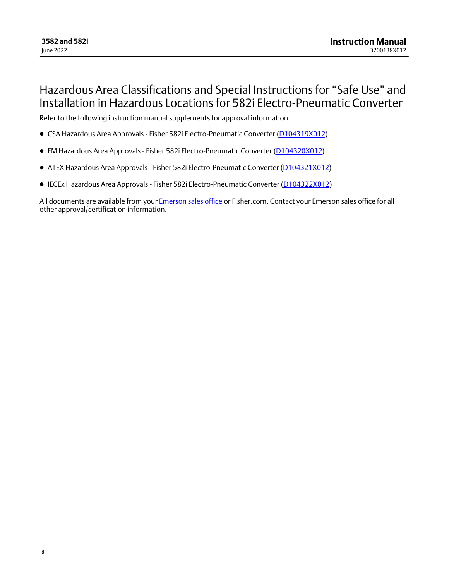## <span id="page-7-0"></span>Hazardous Area Classifications and Special Instructions for "Safe Use" and Installation in Hazardous Locations for 582i Electro‐Pneumatic Converter

Refer to the following instruction manual supplements for approval information.

- CSA Hazardous Area Approvals Fisher 582i Electro-Pneumatic Converter ([D104319X012\)](http://www.emerson.com/documents/automation/im-supplement-csa-hazardous-area-approvals-fisher-582i-electro-pneumatic-converter-en-5088196.pdf)
- FM Hazardous Area Approvals Fisher 582i Electro-Pneumatic Converter ([D104320X012](http://www.emerson.com/documents/automation/im-supplement-fm-hazardous-area-approvals-fisher-582i-electro-pneumatic-converter-en-5088194.pdf))
- ATEX Hazardous Area Approvals Fisher 582i Electro-Pneumatic Converter [\(D104321X012\)](http://www.emerson.com/documents/automation/im-supplement-atex-hazardous-area-approvals-fisher-582i-electro-pneumatic-converter-en-5088192.pdf)
- **IECEx Hazardous Area Approvals Fisher 582i Electro-Pneumatic Converter ([D104322X012\)](http://www.emerson.com/documents/automation/im-supplement-iecex-hazardous-area-approvals-fisher-582i-electro-pneumatic-converter-en-5088190.pdf)**

All documents are available from your [Emerson sales office](http://www.emerson.com/en-us/contact-us) or Fisher.com. Contact your Emerson sales office for all other approval/certification information.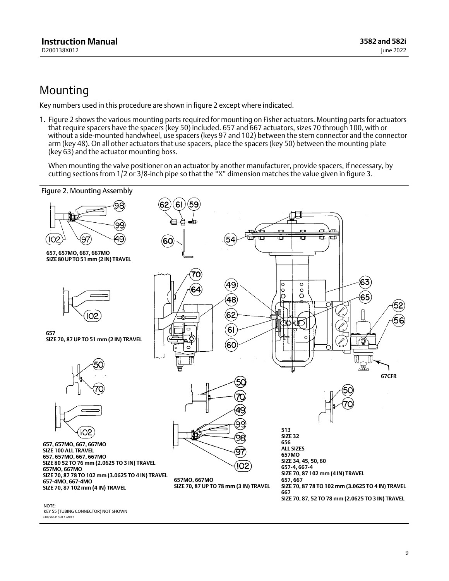## <span id="page-8-0"></span>Mounting

Key numbers used in this procedure are shown in figure 2 except where indicated.

1. Figure 2 shows the various mounting parts required for mounting on Fisher actuators. Mounting parts for actuators that require spacers have the spacers (key 50) included. 657 and 667 actuators, sizes 70 through 100, with or without a side‐mounted handwheel, use spacers (keys 97 and 102) between the stem connector and the connector arm (key 48). On all other actuators that use spacers, place the spacers (key 50) between the mounting plate (key 63) and the actuator mounting boss.

When mounting the valve positioner on an actuator by another manufacturer, provide spacers, if necessary, by cutting sections from 1/2 or 3/8‐inch pipe so that the "X" dimension matches the value given in figure [3.](#page-10-0)



41B8569‐D SHT 1 AND 2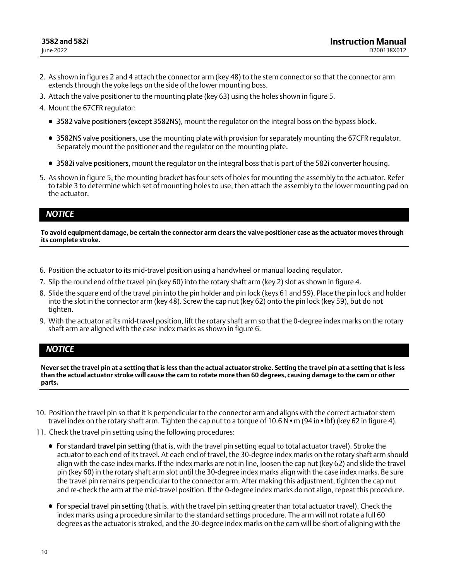- 2. As shown in figures [2](#page-8-0) and [4](#page-11-0) attach the connector arm (key 48) to the stem connector so that the connector arm extends through the yoke legs on the side of the lower mounting boss.
- 3. Attach the valve positioner to the mounting plate (key 63) using the holes shown in figure [5.](#page-11-0)
- 4. Mount the 67CFR regulator:
	- 3582 valve positioners (except 3582NS), mount the regulator on the integral boss on the bypass block.
	- 3582NS valve positioners, use the mounting plate with provision for separately mounting the 67CFR regulator. Separately mount the positioner and the regulator on the mounting plate.
	- 3582i valve positioners, mount the regulator on the integral boss that is part of the 582i converter housing.
- 5. As shown in figure [5](#page-11-0), the mounting bracket has four sets of holes for mounting the assembly to the actuator. Refer to table [3](#page-12-0) to determine which set of mounting holes to use, then attach the assembly to the lower mounting pad on the actuator.

## *NOTICE*

**To avoid equipment damage, be certain the connector arm clears the valve positioner case as the actuator moves through its complete stroke.**

- 6. Position the actuator to its mid‐travel position using a handwheel or manual loading regulator.
- 7. Slip the round end of the travel pin (key 60) into the rotary shaft arm (key 2) slot as shown in figure [4](#page-11-0).
- 8. Slide the square end of the travel pin into the pin holder and pin lock (keys 61 and 59). Place the pin lock and holder into the slot in the connector arm (key 48). Screw the cap nut (key 62) onto the pin lock (key 59), but do not tighten.
- 9. With the actuator at its mid‐travel position, lift the rotary shaft arm so that the 0‐degree index marks on the rotary shaft arm are aligned with the case index marks as shown in figure [6](#page-12-0).

## *NOTICE*

**Never set the travel pin at a setting that is less than the actual actuator stroke. Setting the travel pin at a setting that is less than the actual actuator stroke will cause the cam to rotate more than 60 degrees, causing damage to the cam or other parts.**

- 10. Position the travel pin so that it is perpendicular to the connector arm and aligns with the correct actuator stem travel index on the rotary shaft arm. Tighten the cap nut to a torque of  $10.6 N \cdot m$  (9[4](#page-11-0) in  $\cdot$  lbf) (key 62 in figure 4).
- 11. Check the travel pin setting using the following procedures:
	- For standard travel pin setting (that is, with the travel pin setting equal to total actuator travel). Stroke the actuator to each end of its travel. At each end of travel, the 30‐degree index marks on the rotary shaft arm should align with the case index marks. If the index marks are not in line, loosen the cap nut (key 62) and slide the travel pin (key 60) in the rotary shaft arm slot until the 30‐degree index marks align with the case index marks. Be sure the travel pin remains perpendicular to the connector arm. After making this adjustment, tighten the cap nut and re-check the arm at the mid-travel position. If the 0-degree index marks do not align, repeat this procedure.
	- For special travel pin setting (that is, with the travel pin setting greater than total actuator travel). Check the index marks using a procedure similar to the standard settings procedure. The arm will not rotate a full 60 degrees as the actuator is stroked, and the 30‐degree index marks on the cam will be short of aligning with the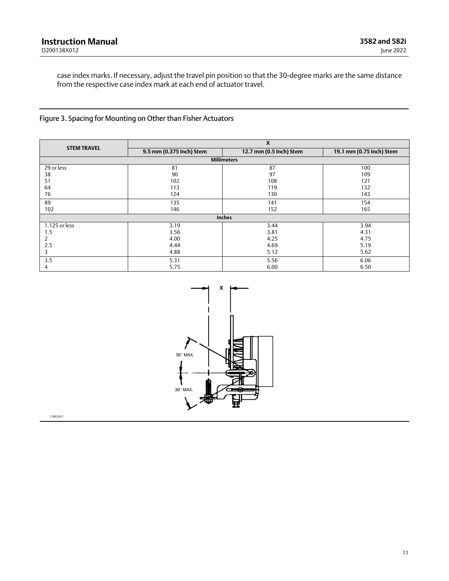<span id="page-10-0"></span>case index marks. If necessary, adjust the travel pin position so that the 30‐degree marks are the same distance from the respective case index mark at each end of actuator travel.

## Figure 3. Spacing for Mounting on Other than Fisher Actuators

| <b>STEM TRAVEL</b> |                          | X                       |      |  |  |  |  |  |
|--------------------|--------------------------|-------------------------|------|--|--|--|--|--|
|                    | 9.5 mm (0.375 Inch) Stem | 12.7 mm (0.5 Inch) Stem |      |  |  |  |  |  |
| <b>Millimeters</b> |                          |                         |      |  |  |  |  |  |
| 29 or less         | 81                       | 87                      | 100  |  |  |  |  |  |
| 38                 | 90                       | 97                      | 109  |  |  |  |  |  |
| 51                 | 102                      | 108                     | 121  |  |  |  |  |  |
| 64                 | 113                      | 119                     | 132  |  |  |  |  |  |
| 76                 | 124                      | 130                     | 143  |  |  |  |  |  |
| 89                 | 135                      | 141                     | 154  |  |  |  |  |  |
| 102                | 146                      | 152                     | 165  |  |  |  |  |  |
|                    |                          | Inches                  |      |  |  |  |  |  |
| 1.125 or less      | 3.19                     | 3.44                    | 3.94 |  |  |  |  |  |
| 1.5                | 3.56                     | 3.81                    | 4.31 |  |  |  |  |  |
|                    | 4.00                     | 4.25                    | 4.75 |  |  |  |  |  |
| 2.5                | 4.44                     | 4.69                    | 5.19 |  |  |  |  |  |
| 3                  | 4.88                     | 5.12                    | 5.62 |  |  |  |  |  |
| 3.5                | 5.31                     | 5.56                    | 6.06 |  |  |  |  |  |
| 4                  | 5.75                     | 6.00                    | 6.50 |  |  |  |  |  |



11B6520‐F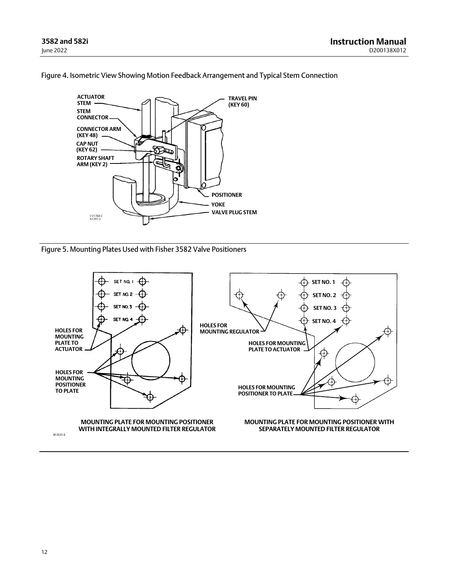

<span id="page-11-0"></span>Figure 4. Isometric View Showing Motion Feedback Arrangement and Typical Stem Connection

Figure 5. Mounting Plates Used with Fisher 3582 Valve Positioners

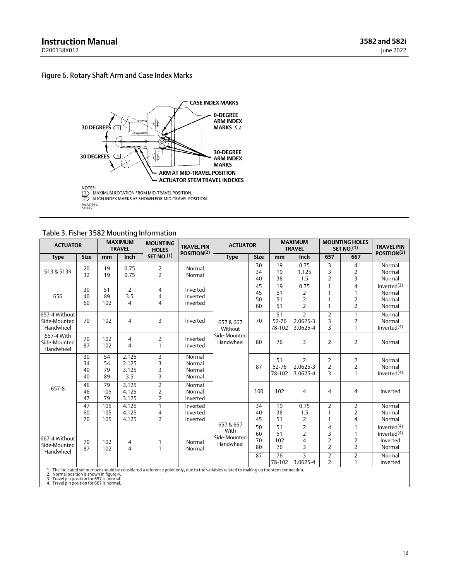## <span id="page-12-0"></span>Figure 6. Rotary Shaft Arm and Case Index Marks



### Table 3. Fisher 3582 Mounting Information

|                                                                                                                                  | <b>ACTUATOR</b>      |                      | <b>MAXIMUM</b><br><b>TRAVEL</b>         | <b>MOUNTING</b><br><b>HOLES</b>                    | <b>TRAVEL PIN</b>                    | <b>ACTUATOR</b>                                                                                                                         |                      | <b>MAXIMUM</b><br><b>MOUNTING HOLES</b><br>SET NO <sub>1</sub> (1)<br><b>TRAVEL</b> |                                               |                                                              | <b>TRAVEL PIN</b>                          |                                                        |
|----------------------------------------------------------------------------------------------------------------------------------|----------------------|----------------------|-----------------------------------------|----------------------------------------------------|--------------------------------------|-----------------------------------------------------------------------------------------------------------------------------------------|----------------------|-------------------------------------------------------------------------------------|-----------------------------------------------|--------------------------------------------------------------|--------------------------------------------|--------------------------------------------------------|
| <b>Type</b>                                                                                                                      | <b>Size</b>          | mm                   | Inch                                    | <b>SET NO.(1)</b>                                  | POSITION <sup>(2)</sup>              | <b>Type</b>                                                                                                                             | <b>Size</b>          | mm                                                                                  | Inch                                          | 657                                                          | 667                                        | POSITION <sup>(2)</sup>                                |
| 513 & 513R                                                                                                                       | 20<br>32             | 19<br>19             | 0.75<br>0.75                            | 2<br>$\overline{2}$                                | Normal<br>Normal                     |                                                                                                                                         | 30<br>34<br>40       | 19<br>19<br>38                                                                      | 0.75<br>1.125<br>1.5                          | 3<br>3<br>$\overline{2}$                                     | 4<br>2<br>3                                | Normal<br>Normal<br>Normal                             |
| 656                                                                                                                              | 30<br>40<br>60       | 51<br>89<br>102      | $\overline{2}$<br>3.5<br>$\overline{4}$ | 4<br>4<br>4                                        | Inverted<br>Inverted<br>Inverted     |                                                                                                                                         | 45<br>45<br>50<br>60 | 19<br>51<br>51<br>51                                                                | 0.75<br>2<br>$\overline{2}$<br>$\overline{2}$ | $\mathbf{1}$<br>$\mathbf{1}$<br>$\mathbf{1}$<br>$\mathbf{1}$ | 4<br>1<br>$\overline{2}$<br>$\overline{2}$ | Inverted $(3)$<br>Normal<br>Normal<br>Normal           |
| 657-4 Without<br>Side-Mounted<br>Handwheel                                                                                       | 70                   | 102                  | 4                                       | 3                                                  | Inverted                             | 657 & 667<br>Without                                                                                                                    | 70                   | 51<br>52-76<br>78-102                                                               | $\overline{2}$<br>2.0625-3<br>3.0625-4        | $\overline{2}$<br>3<br>3                                     | $\mathbf{1}$<br>2<br>1                     | Normal<br>Normal<br>Inverted $(4)$                     |
| 657-4 With<br>Side-Mounted<br>Handwheel                                                                                          | 70<br>87             | 102<br>102           | 4<br>$\overline{4}$                     | 2<br>$\mathbf{1}$                                  | Inverted<br>Inverted                 | Side-Mounted<br>Handwheel                                                                                                               | 80                   | 76                                                                                  | 3                                             | 2                                                            | 2                                          | Normal                                                 |
|                                                                                                                                  | 30<br>34<br>40<br>40 | 54<br>54<br>79<br>89 | 2.125<br>2.125<br>3.125<br>3.5          | 3<br>3<br>3<br>3                                   | Normal<br>Normal<br>Normal<br>Normal |                                                                                                                                         | 87                   | 51<br>52-76<br>78-102                                                               | $\overline{2}$<br>2.0625-3<br>3.0625-4        | $\overline{2}$<br>$\overline{2}$<br>3                        | 2<br>$\overline{2}$<br>$\mathbf{1}$        | Normal<br>Normal<br>Inverted <sup>(4)</sup>            |
| 657-8                                                                                                                            | 46<br>46<br>47       | 79<br>105<br>79      | 3.125<br>4.125<br>3.125                 | $\overline{2}$<br>$\overline{2}$<br>$\overline{2}$ | Normal<br>Normal<br>Inverted         |                                                                                                                                         | 100                  | 102                                                                                 | $\overline{4}$                                | 4                                                            | 4                                          | Inverted                                               |
|                                                                                                                                  | 47<br>60<br>70       | 105<br>105<br>105    | 4.125<br>4.125<br>4.125                 | $\mathbf{1}$<br>4<br>2                             | Inverted<br>Inverted<br>Inverted     |                                                                                                                                         | 34<br>40<br>45       | 19<br>38<br>51                                                                      | 0.75<br>1.5<br>$\overline{2}$                 | $\overline{2}$<br>$\mathbf{1}$<br>$\mathbf{1}$               | 2<br>2<br>4                                | Normal<br>Normal<br>Normal                             |
| 667-4 Without<br>Side-Mounted<br>Handwheel                                                                                       | 70<br>87             | 102<br>102           | 4<br>$\overline{4}$                     | 1<br>$\mathbf{1}$                                  | Normal<br>Normal                     | 657 & 667<br>With<br>Side-Mounted<br>Handwheel                                                                                          | 50<br>60<br>70<br>80 | 51<br>51<br>102<br>76                                                               | $\overline{2}$<br>$\overline{2}$<br>4<br>3    | $\overline{4}$<br>3<br>2<br>$\overline{2}$                   | 1<br>2<br>2                                | Inverted $(4)$<br>Inverted $(4)$<br>Inverted<br>Normal |
|                                                                                                                                  |                      |                      |                                         |                                                    |                                      |                                                                                                                                         | 87                   | 76<br>78-102                                                                        | 3<br>3.0625-4                                 | $\overline{2}$<br>$\overline{2}$                             | 2<br>1                                     | Normal<br>Inverted                                     |
| 2. Normal position is shown in figure 4.<br>3. Travel pin position for 657 is normal.<br>4 Travel nin position for 667 is normal |                      |                      |                                         |                                                    |                                      | 1. The indicated set number should be considered a reference point only, due to the variables related to making up the stem connection. |                      |                                                                                     |                                               |                                                              |                                            |                                                        |

4. Travel pin position for 667 is normal.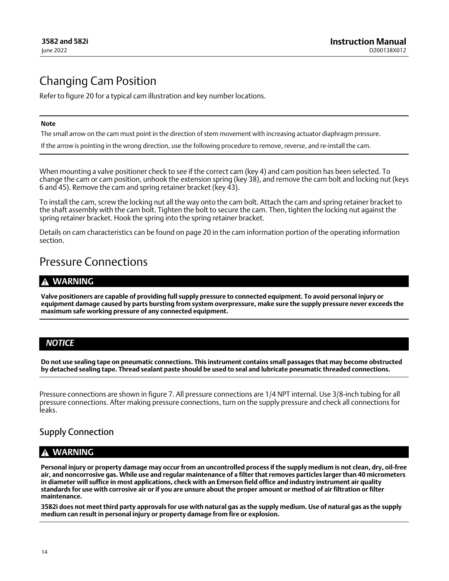## <span id="page-13-0"></span>Changing Cam Position

Refer to figure [20](#page-35-0) for a typical cam illustration and key number locations.

#### **Note**

The small arrow on the cam must point in the direction of stem movement with increasing actuator diaphragm pressure.

If the arrow is pointing in the wrong direction, use the following procedure to remove, reverse, and re-install the cam.

When mounting a valve positioner check to see if the correct cam (key 4) and cam position has been selected. To change the cam or cam position, unhook the extension spring (key 38), and remove the cam bolt and locking nut (keys 6 and 45). Remove the cam and spring retainer bracket (key 43).

To install the cam, screw the locking nut all the way onto the cam bolt. Attach the cam and spring retainer bracket to the shaft assembly with the cam bolt. Tighten the bolt to secure the cam. Then, tighten the locking nut against the spring retainer bracket. Hook the spring into the spring retainer bracket.

Details on cam characteristics can be found on page [20](#page-19-0) in the cam information portion of the operating information section.

## Pressure Connections

## **WARNING**

**Valve positioners are capable of providing full supply pressure to connected equipment. To avoid personal injury or equipment damage caused by parts bursting from system overpressure, make sure the supply pressure never exceeds the maximum safe working pressure of any connected equipment.**

## *NOTICE*

**Do not use sealing tape on pneumatic connections. This instrument contains small passages that may become obstructed by detached sealing tape. Thread sealant paste should be used to seal and lubricate pneumatic threaded connections.**

Pressure connections are shown in figure [7](#page-14-0). All pressure connections are 1/4 NPT internal. Use 3/8‐inch tubing for all pressure connections. After making pressure connections, turn on the supply pressure and check all connections for leaks.

## Supply Connection

## **WARNING**

**Personal injury or property damage may occur from an uncontrolled process if the supply medium is not clean, dry, oil‐free air, and noncorrosive gas. While use and regular maintenance of a filter that removes particles larger than 40 micrometers in diameter will suffice in most applications, check with an Emerson field office and industry instrument air quality standards for use with corrosive air or if you are unsure about the proper amount or method of air filtration or filter maintenance.**

**3582i does not meet third party approvals for use with natural gas as the supply medium. Use of natural gas as the supply medium can result in personal injury or property damage from fire or explosion.**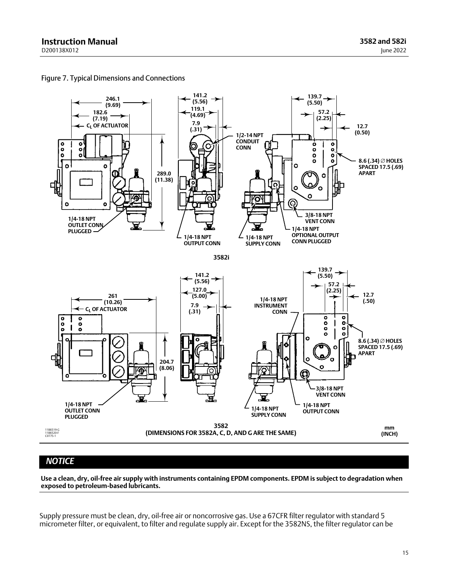

<span id="page-14-0"></span>Figure 7. Typical Dimensions and Connections

## *NOTICE*

**Use a clean, dry, oil‐free air supply with instruments containing EPDM components. EPDM is subject to degradation when exposed to petroleum‐based lubricants.**

Supply pressure must be clean, dry, oil‐free air or noncorrosive gas. Use a 67CFR filter regulator with standard 5 micrometer filter, or equivalent, to filter and regulate supply air. Except for the 3582NS, the filter regulator can be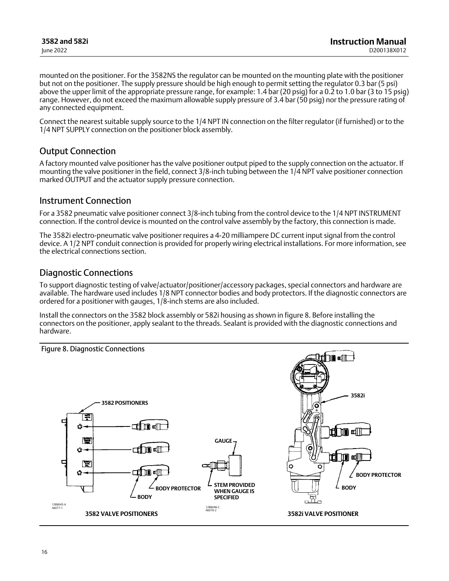<span id="page-15-0"></span>mounted on the positioner. For the 3582NS the regulator can be mounted on the mounting plate with the positioner but not on the positioner. The supply pressure should be high enough to permit setting the regulator 0.3 bar (5 psi) above the upper limit of the appropriate pressure range, for example: 1.4 bar (20 psig) for a 0.2 to 1.0 bar (3 to 15 psig) range. However, do not exceed the maximum allowable supply pressure of 3.4 bar (50 psig) nor the pressure rating of any connected equipment.

Connect the nearest suitable supply source to the 1/4 NPT IN connection on the filter regulator (if furnished) or to the 1/4 NPT SUPPLY connection on the positioner block assembly.

## Output Connection

A factory mounted valve positioner has the valve positioner output piped to the supply connection on the actuator. If mounting the valve positioner in the field, connect 3/8‐inch tubing between the 1/4 NPT valve positioner connection marked OUTPUT and the actuator supply pressure connection.

## Instrument Connection

For a 3582 pneumatic valve positioner connect 3/8‐inch tubing from the control device to the 1/4 NPT INSTRUMENT connection. If the control device is mounted on the control valve assembly by the factory, this connection is made.

The 3582i electro‐pneumatic valve positioner requires a 4‐20 milliampere DC current input signal from the control device. A 1/2 NPT conduit connection is provided for properly wiring electrical installations. For more information, see the electrical connections section.

## Diagnostic Connections

To support diagnostic testing of valve/actuator/positioner/accessory packages, special connectors and hardware are available. The hardware used includes 1/8 NPT connector bodies and body protectors. If the diagnostic connectors are ordered for a positioner with gauges, 1/8‐inch stems are also included.

Install the connectors on the 3582 block assembly or 582i housing as shown in figure 8. Before installing the connectors on the positioner, apply sealant to the threads. Sealant is provided with the diagnostic connections and hardware.

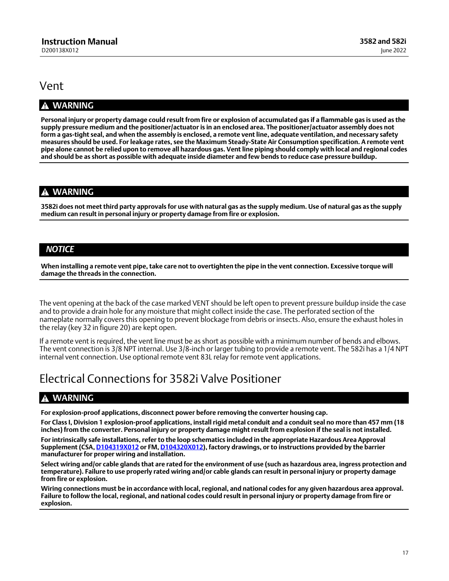## <span id="page-16-0"></span>Vent

## **WARNING**

**Personal injury or property damage could result from fire or explosion of accumulated gas if a flammable gas is used as the supply pressure medium and the positioner/actuator is in an enclosed area. The positioner/actuator assembly does not form a gas‐tight seal, and when the assembly is enclosed, a remote vent line, adequate ventilation, and necessary safety measures should be used. For leakage rates, see the Maximum Steady‐State Air Consumption specification. A remote vent pipe alone cannot be relied upon to remove all hazardous gas. Vent line piping should comply with local and regional codes and should be as short as possible with adequate inside diameter and few bends to reduce case pressure buildup.**

## **WARNING**

**3582i does not meet third party approvals for use with natural gas as the supply medium. Use of natural gas as the supply medium can result in personal injury or property damage from fire or explosion.**

## *NOTICE*

**When installing a remote vent pipe, take care not to overtighten the pipe in the vent connection. Excessive torque will damage the threads in the connection.**

The vent opening at the back of the case marked VENT should be left open to prevent pressure buildup inside the case and to provide a drain hole for any moisture that might collect inside the case. The perforated section of the nameplate normally covers this opening to prevent blockage from debris or insects. Also, ensure the exhaust holes in the relay (key 32 in figure [20\)](#page-35-0) are kept open.

If a remote vent is required, the vent line must be as short as possible with a minimum number of bends and elbows. The vent connection is 3/8 NPT internal. Use 3/8‐inch or larger tubing to provide a remote vent. The 582i has a 1/4 NPT internal vent connection. Use optional remote vent 83L relay for remote vent applications.

## Electrical Connections for 3582i Valve Positioner

## **WARNING**

**For explosion‐proof applications, disconnect power before removing the converter housing cap.**

**For Class I, Division 1 explosion‐proof applications, install rigid metal conduit and a conduit seal no more than 457 mm (18 inches) from the converter. Personal injury or property damage might result from explosion if the seal is not installed. For intrinsically safe installations, refer to the loop schematics included in the appropriate Hazardous Area Approval Supplement (CSA, [D104319X012](https://www.emerson.com/documents/automation/im-supplement-csa-hazardous-area-approvals-fisher-582i-electro-pneumatic-converter-en-5088196.pdf) or FM, [D104320X012](https://www.emerson.com/documents/automation/im-supplement-fm-hazardous-area-approvals-fisher-582i-electro-pneumatic-converter-en-5088194.pdf)), factory drawings, or to instructions provided by the barrier manufacturer for proper wiring and installation.**

**Select wiring and/or cable glands that are rated for the environment of use (such as hazardous area, ingress protection and temperature). Failure to use properly rated wiring and/or cable glands can result in personal injury or property damage from fire or explosion.**

**Wiring connections must be in accordance with local, regional, and national codes for any given hazardous area approval. Failure to follow the local, regional, and national codes could result in personal injury or property damage from fire or explosion.**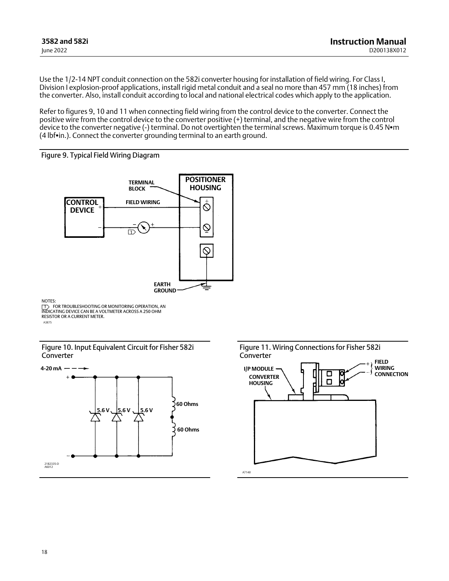<span id="page-17-0"></span>Use the 1/2‐14 NPT conduit connection on the 582i converter housing for installation of field wiring. For Class I, Division I explosion‐proof applications, install rigid metal conduit and a seal no more than 457 mm (18 inches) from the converter. Also, install conduit according to local and national electrical codes which apply to the application.

Refer to figures 9, 10 and 11 when connecting field wiring from the control device to the converter. Connect the positive wire from the control device to the converter positive (+) terminal, and the negative wire from the control device to the converter negative (-) terminal. Do not overtighten the terminal screws. Maximum torque is 0.45 N $\bullet$ m  $(4)$  lbf $\cdot$ in.). Connect the converter grounding terminal to an earth ground.





NOTES:

A3875 [T∑| FOR TROUBLESHOOTING OR MONITORING OPERATION, AN<br>INDICATING DEVICE CAN BE A VOLTMETER ACROSS A 250 OHM<br>RESISTOR OR A CURRENT METER.

Figure 10. Input Equivalent Circuit for Fisher 582i Converter



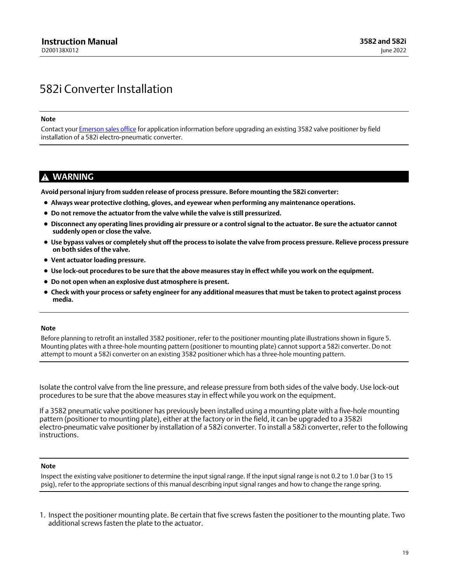## <span id="page-18-0"></span>582i Converter Installation

**Note**

Contact your [Emerson sales office](http://www.emerson.com/en-us/contact-us) for application information before upgrading an existing 3582 valve positioner by field installation of a 582i electro-pneumatic converter.

## **WARNING**

**Avoid personal injury from sudden release of process pressure. Before mounting the 582i converter:**

- **Always wear protective clothing, gloves, and eyewear when performing any maintenance operations.**
- **Do not remove the actuator from the valve while the valve is still pressurized.**
- **Disconnect any operating lines providing air pressure or a control signal to the actuator. Be sure the actuator cannot suddenly open or close the valve.**
- **Use bypass valves or completely shut off the process to isolate the valve from process pressure. Relieve process pressure on both sides of the valve.**
- **Vent actuator loading pressure.**
- **Use lock‐out procedures to be sure that the above measures stay in effect while you work on the equipment.**
- **Do not open when an explosive dust atmosphere is present.**
- **Check with your process or safety engineer for any additional measures that must be taken to protect against process media.**

#### **Note**

Before planning to retrofit an installed 3582 positioner, refer to the positioner mounting plate illustrations shown in figure [5.](#page-11-0) Mounting plates with a three‐hole mounting pattern (positioner to mounting plate) cannot support a 582i converter. Do not attempt to mount a 582i converter on an existing 3582 positioner which has a three‐hole mounting pattern.

Isolate the control valve from the line pressure, and release pressure from both sides of the valve body. Use lock‐out procedures to be sure that the above measures stay in effect while you work on the equipment.

If a 3582 pneumatic valve positioner has previously been installed using a mounting plate with a five-hole mounting pattern (positioner to mounting plate), either at the factory or in the field, it can be upgraded to a 3582i electro‐pneumatic valve positioner by installation of a 582i converter. To install a 582i converter, refer to the following instructions.

#### **Note**

Inspect the existing valve positioner to determine the input signal range. If the input signal range is not 0.2 to 1.0 bar (3 to 15 psig), refer to the appropriate sections of this manual describing input signal ranges and how to change the range spring.

1. Inspect the positioner mounting plate. Be certain that five screws fasten the positioner to the mounting plate. Two additional screws fasten the plate to the actuator.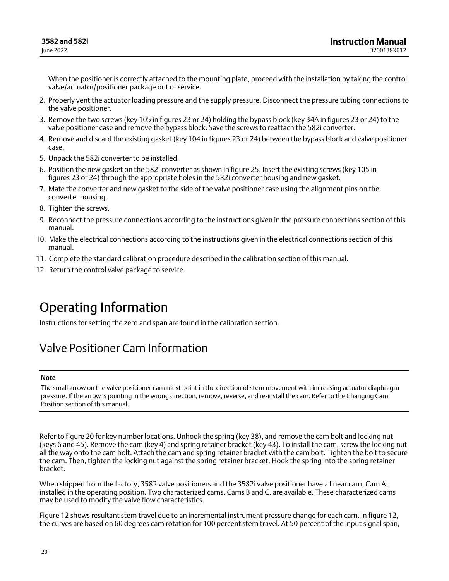<span id="page-19-0"></span>When the positioner is correctly attached to the mounting plate, proceed with the installation by taking the control valve/actuator/positioner package out of service.

- 2. Properly vent the actuator loading pressure and the supply pressure. Disconnect the pressure tubing connections to the valve positioner.
- 3. Remove the two screws (key 105 in figures [23](#page-38-0) or [24\)](#page-39-0) holding the bypass block (key 34A in figures [23](#page-38-0) or [24](#page-39-0)) to the valve positioner case and remove the bypass block. Save the screws to reattach the 582i converter.
- 4. Remove and discard the existing gasket (key 104 in figures [23](#page-38-0) or [24\)](#page-39-0) between the bypass block and valve positioner case.
- 5. Unpack the 582i converter to be installed.
- 6. Position the new gasket on the 582i converter as shown in figure [25](#page-40-0). Insert the existing screws (key 105 in figures [23](#page-38-0) or [24\)](#page-39-0) through the appropriate holes in the 582i converter housing and new gasket.
- 7. Mate the converter and new gasket to the side of the valve positioner case using the alignment pins on the converter housing.
- 8. Tighten the screws.
- 9. Reconnect the pressure connections according to the instructions given in the pressure connections section of this manual.
- 10. Make the electrical connections according to the instructions given in the electrical connections section of this manual.
- 11. Complete the standard calibration procedure described in the calibration section of this manual.
- 12. Return the control valve package to service.

# Operating Information

Instructions for setting the zero and span are found in the calibration section.

## Valve Positioner Cam Information

### **Note**

The small arrow on the valve positioner cam must point in the direction of stem movement with increasing actuator diaphragm pressure. If the arrow is pointing in the wrong direction, remove, reverse, and re‐install the cam. Refer to the Changing Cam Position section of this manual.

Refer to figure [20](#page-35-0) for key number locations. Unhook the spring (key 38), and remove the cam bolt and locking nut (keys 6 and 45). Remove the cam (key 4) and spring retainer bracket (key 43). To install the cam, screw the locking nut all the way onto the cam bolt. Attach the cam and spring retainer bracket with the cam bolt. Tighten the bolt to secure the cam. Then, tighten the locking nut against the spring retainer bracket. Hook the spring into the spring retainer bracket.

When shipped from the factory, 3582 valve positioners and the 3582i valve positioner have a linear cam, Cam A, installed in the operating position. Two characterized cams, Cams B and C, are available. These characterized cams may be used to modify the valve flow characteristics.

Figure [12](#page-20-0) shows resultant stem travel due to an incremental instrument pressure change for each cam. In figure [12,](#page-20-0) the curves are based on 60 degrees cam rotation for 100 percent stem travel. At 50 percent of the input signal span,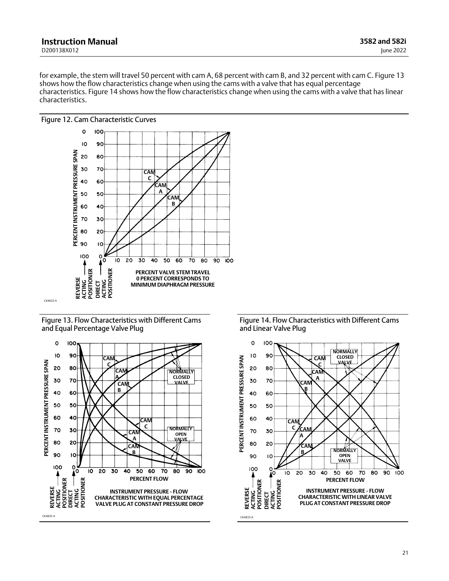<span id="page-20-0"></span>for example, the stem will travel 50 percent with cam A, 68 percent with cam B, and 32 percent with cam C. Figure 13 shows how the flow characteristics change when using the cams with a valve that has equal percentage characteristics. Figure 14 shows how the flow characteristics change when using the cams with a valve that has linear characteristics.



Figure 13. Flow Characteristics with Different Cams and Equal Percentage Valve Plug



Figure 14. Flow Characteristics with Different Cams and Linear Valve Plug

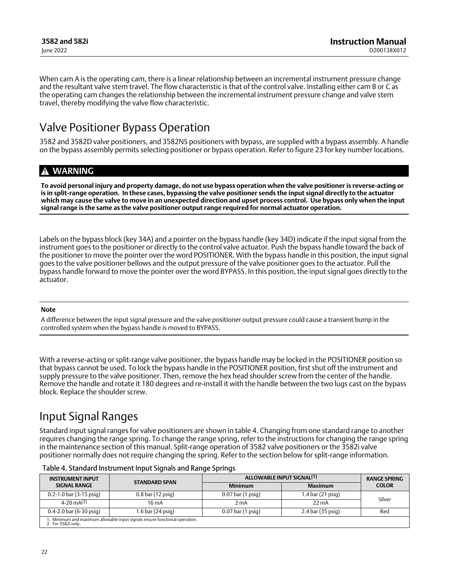<span id="page-21-0"></span>When cam A is the operating cam, there is a linear relationship between an incremental instrument pressure change and the resultant valve stem travel. The flow characteristic is that of the control valve. Installing either cam B or C as the operating cam changes the relationship between the incremental instrument pressure change and valve stem travel, thereby modifying the valve flow characteristic.

## Valve Positioner Bypass Operation

3582 and 3582D valve positioners, and 3582NS positioners with bypass, are supplied with a bypass assembly. A handle on the bypass assembly permits selecting positioner or bypass operation. Refer to figure [23](#page-38-0) for key number locations.

## **WARNING**

**To avoid personal injury and property damage, do not use bypass operation when the valve positioner is reverse‐acting or is in split‐range operation. In these cases, bypassing the valve positioner sends the input signal directly to the actuator which may cause the valve to move in an unexpected direction and upset process control. Use bypass only when the input signal range is the same as the valve positioner output range required for normal actuator operation.**

Labels on the bypass block (key 34A) and a pointer on the bypass handle (key 34D) indicate if the input signal from the instrument goes to the positioner or directly to the control valve actuator. Push the bypass handle toward the back of the positioner to move the pointer over the word POSITIONER. With the bypass handle in this position, the input signal goes to the valve positioner bellows and the output pressure of the valve positioner goes to the actuator. Pull the bypass handle forward to move the pointer over the word BYPASS. In this position, the input signal goes directly to the actuator.

### **Note**

A difference between the input signal pressure and the valve positioner output pressure could cause a transient bump in the controlled system when the bypass handle is moved to BYPASS.

With a reverse-acting or split-range valve positioner, the bypass handle may be locked in the POSITIONER position so that bypass cannot be used. To lock the bypass handle in the POSITIONER position, first shut off the instrument and supply pressure to the valve positioner. Then, remove the hex head shoulder screw from the center of the handle. Remove the handle and rotate it 180 degrees and re‐install it with the handle between the two lugs cast on the bypass block. Replace the shoulder screw.

## Input Signal Ranges

Standard input signal ranges for valve positioners are shown in table 4. Changing from one standard range to another requires changing the range spring. To change the range spring, refer to the instructions for changing the range spring in the maintenance section of this manual. Split‐range operation of 3582 valve positioners or the 3582i valve positioner normally does not require changing the spring. Refer to the section below for split‐range information.

| <b>INSTRUMENT INPUT</b>     | <b>STANDARD SPAN</b>                                                        |                     | ALLOWABLE INPUT SIGNAL <sup>(1)</sup> |              |  |  |
|-----------------------------|-----------------------------------------------------------------------------|---------------------|---------------------------------------|--------------|--|--|
| <b>SIGNAL RANGE</b>         |                                                                             | <b>Minimum</b>      | <b>Maximum</b>                        | <b>COLOR</b> |  |  |
| $0.2 - 1.0$ bar (3-15 psig) | $0.8$ bar (12 psig)                                                         | $0.07$ bar (1 psig) | 1.4 bar (21 psig)                     |              |  |  |
| 4-20 mA <sup>(2)</sup>      | $16 \text{ mA}$                                                             | 2 mA                | $22 \text{ mA}$                       | Silver       |  |  |
| $0.4 - 2.0$ bar (6-30 psig) | 1.6 bar (24 psig)                                                           | $0.07$ bar (1 psig) | 2.4 bar (35 psig)                     | Red          |  |  |
| 2. For 3582i only.          | 1. Minimum and maximum allowable input signals ensure functional operation. |                     |                                       |              |  |  |

Table 4. Standard Instrument Input Signals and Range Springs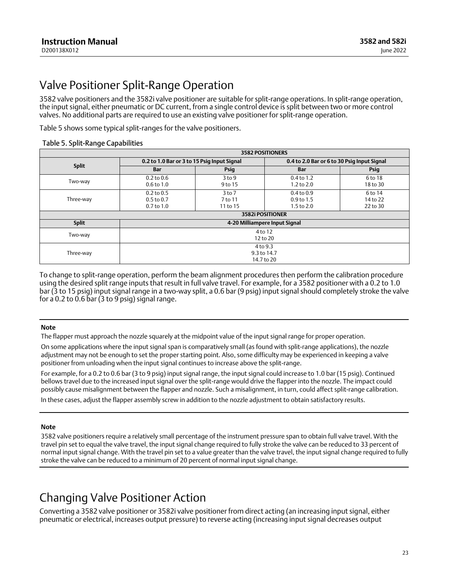# <span id="page-22-0"></span>Valve Positioner Split‐Range Operation

3582 valve positioners and the 3582i valve positioner are suitable for split‐range operations. In split‐range operation, the input signal, either pneumatic or DC current, from a single control device is split between two or more control valves. No additional parts are required to use an existing valve positioner for split‐range operation.

Table 5 shows some typical split‐ranges for the valve positioners.

### Table 5. Split‐Range Capabilities

| <b>3582 POSITIONERS</b> |                                                    |                                                                                                                          |                                             |                     |  |  |  |
|-------------------------|----------------------------------------------------|--------------------------------------------------------------------------------------------------------------------------|---------------------------------------------|---------------------|--|--|--|
| <b>Split</b>            | 0.2 to 1.0 Bar or 3 to 15 Psig Input Signal        |                                                                                                                          | 0.4 to 2.0 Bar or 6 to 30 Psig Input Signal |                     |  |  |  |
|                         | <b>Bar</b>                                         | Psig                                                                                                                     | <b>Bar</b>                                  | Psig                |  |  |  |
| Two-way                 | $0.2$ to $0.6$<br>$0.6$ to $1.0$                   | $3$ to 9<br>9 to 15                                                                                                      | $0.4$ to 1.2<br>$1.2$ to $2.0$              | 6 to 18<br>18 to 30 |  |  |  |
| Three-way               | $0.2$ to $0.5$<br>$0.5$ to $0.7$<br>$0.7$ to $1.0$ | $3$ to $7$<br>$0.4$ to $0.9$<br>6 to 14<br>7 to 11<br>14 to 22<br>$0.9$ to 1.5<br>11 to 15<br>22 to 30<br>$1.5$ to $2.0$ |                                             |                     |  |  |  |
|                         | 3582i POSITIONER                                   |                                                                                                                          |                                             |                     |  |  |  |
| <b>Split</b>            | 4-20 Milliampere Input Signal                      |                                                                                                                          |                                             |                     |  |  |  |
| Two-way                 | 4 to 12<br>12 to 20                                |                                                                                                                          |                                             |                     |  |  |  |
| Three-way               |                                                    | 4 to 9.3<br>9.3 to 14.7<br>14.7 to 20                                                                                    |                                             |                     |  |  |  |

To change to split‐range operation, perform the beam alignment procedures then perform the calibration procedure using the desired split range inputs that result in full valve travel. For example, for a 3582 positioner with a 0.2 to 1.0 bar (3 to 15 psig) input signal range in a two‐way split, a 0.6 bar (9 psig) input signal should completely stroke the valve for a 0.2 to 0.6 bar (3 to 9 psig) signal range.

### **Note**

The flapper must approach the nozzle squarely at the midpoint value of the input signal range for proper operation.

On some applications where the input signal span is comparatively small (as found with split-range applications), the nozzle adjustment may not be enough to set the proper starting point. Also, some difficulty may be experienced in keeping a valve positioner from unloading when the input signal continues to increase above the split-range.

For example, for a 0.2 to 0.6 bar (3 to 9 psig) input signal range, the input signal could increase to 1.0 bar (15 psig). Continued bellows travel due to the increased input signal over the split-range would drive the flapper into the nozzle. The impact could possibly cause misalignment between the flapper and nozzle. Such a misalignment, in turn, could affect split-range calibration.

In these cases, adjust the flapper assembly screw in addition to the nozzle adjustment to obtain satisfactory results.

### **Note**

3582 valve positioners require a relatively small percentage of the instrument pressure span to obtain full valve travel. With the travel pin set to equal the valve travel, the input signal change required to fully stroke the valve can be reduced to 33 percent of normal input signal change. With the travel pin set to a value greater than the valve travel, the input signal change required to fully stroke the valve can be reduced to a minimum of 20 percent of normal input signal change.

## Changing Valve Positioner Action

Converting a 3582 valve positioner or 3582i valve positioner from direct acting (an increasing input signal, either pneumatic or electrical, increases output pressure) to reverse acting (increasing input signal decreases output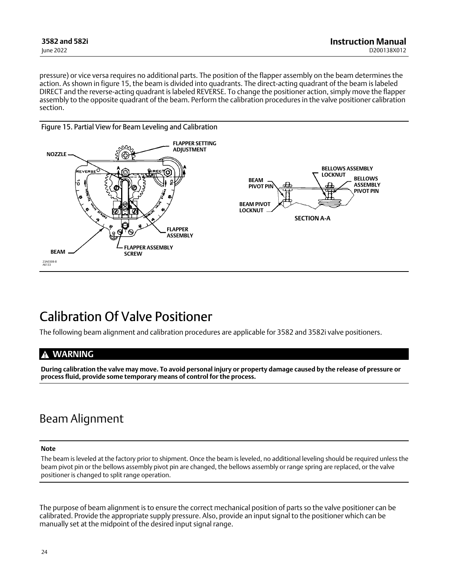<span id="page-23-0"></span>pressure) or vice versa requires no additional parts. The position of the flapper assembly on the beam determines the action. As shown in figure 15, the beam is divided into quadrants. The direct-acting quadrant of the beam is labeled DIRECT and the reverse‐acting quadrant is labeled REVERSE. To change the positioner action, simply move the flapper assembly to the opposite quadrant of the beam. Perform the calibration procedures in the valve positioner calibration section.



# Calibration Of Valve Positioner

The following beam alignment and calibration procedures are applicable for 3582 and 3582i valve positioners.

## **WARNING**

**During calibration the valve may move. To avoid personal injury or property damage caused by the release of pressure or process fluid, provide some temporary means of control for the process.**

## Beam Alignment

#### **Note**

The beam is leveled at the factory prior to shipment. Once the beam is leveled, no additional leveling should be required unless the beam pivot pin or the bellows assembly pivot pin are changed, the bellows assembly or range spring are replaced, or the valve positioner is changed to split range operation.

The purpose of beam alignment is to ensure the correct mechanical position of parts so the valve positioner can be calibrated. Provide the appropriate supply pressure. Also, provide an input signal to the positioner which can be manually set at the midpoint of the desired input signal range.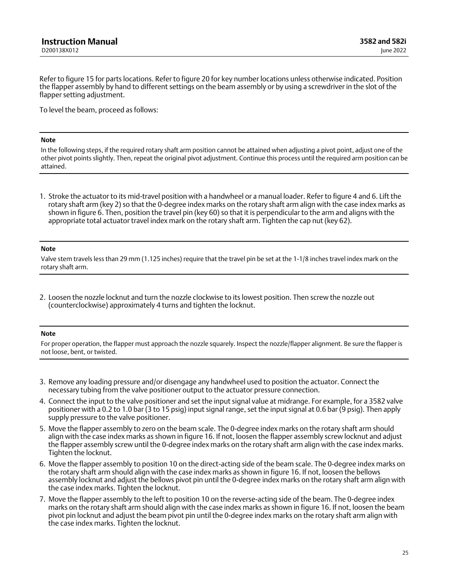<span id="page-24-0"></span>Refer to figure [15](#page-23-0) for parts locations. Refer to figure [20](#page-35-0) for key number locations unless otherwise indicated. Position the flapper assembly by hand to different settings on the beam assembly or by using a screwdriver in the slot of the flapper setting adjustment.

To level the beam, proceed as follows:

#### **Note**

In the following steps, if the required rotary shaft arm position cannot be attained when adjusting a pivot point, adjust one of the other pivot points slightly. Then, repeat the original pivot adjustment. Continue this process until the required arm position can be attained.

1. Stroke the actuator to its mid‐travel position with a handwheel or a manual loader. Refer to figure [4](#page-11-0) and [6.](#page-12-0) Lift the rotary shaft arm (key 2) so that the 0‐degree index marks on the rotary shaft arm align with the case index marks as shown in figure [6.](#page-12-0) Then, position the travel pin (key 60) so that it is perpendicular to the arm and aligns with the appropriate total actuator travel index mark on the rotary shaft arm. Tighten the cap nut (key 62).

#### **Note**

Valve stem travels less than 29 mm (1.125 inches) require that the travel pin be set at the 1‐1/8 inches travel index mark on the rotary shaft arm.

2. Loosen the nozzle locknut and turn the nozzle clockwise to its lowest position. Then screw the nozzle out (counterclockwise) approximately 4 turns and tighten the locknut.

#### **Note**

For proper operation, the flapper must approach the nozzle squarely. Inspect the nozzle/flapper alignment. Be sure the flapper is not loose, bent, or twisted.

- 3. Remove any loading pressure and/or disengage any handwheel used to position the actuator. Connect the necessary tubing from the valve positioner output to the actuator pressure connection.
- 4. Connect the input to the valve positioner and set the input signal value at midrange. For example, for a 3582 valve positioner with a 0.2 to 1.0 bar (3 to 15 psig) input signal range, set the input signal at 0.6 bar (9 psig). Then apply supply pressure to the valve positioner.
- 5. Move the flapper assembly to zero on the beam scale. The 0‐degree index marks on the rotary shaft arm should align with the case index marks as shown in figure [16](#page-25-0). If not, loosen the flapper assembly screw locknut and adjust the flapper assembly screw until the 0‐degree index marks on the rotary shaft arm align with the case index marks. Tighten the locknut.
- 6. Move the flapper assembly to position 10 on the direct‐acting side of the beam scale. The 0‐degree index marks on the rotary shaft arm should align with the case index marks as shown in figure [16.](#page-25-0) If not, loosen the bellows assembly locknut and adjust the bellows pivot pin until the 0‐degree index marks on the rotary shaft arm align with the case index marks. Tighten the locknut.
- 7. Move the flapper assembly to the left to position 10 on the reverse‐acting side of the beam. The 0‐degree index marks on the rotary shaft arm should align with the case index marks as shown in figure [16.](#page-25-0) If not, loosen the beam pivot pin locknut and adjust the beam pivot pin until the 0‐degree index marks on the rotary shaft arm align with the case index marks. Tighten the locknut.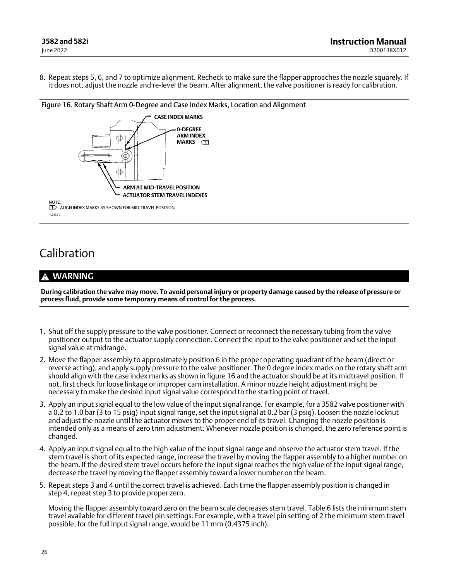<span id="page-25-0"></span>8. Repeat steps [5, 6,](#page-24-0) and [7](#page-24-0) to optimize alignment. Recheck to make sure the flapper approaches the nozzle squarely. If it does not, adjust the nozzle and re‐level the beam. After alignment, the valve positioner is ready for calibration.



# Calibration

## **WARNING**

**During calibration the valve may move. To avoid personal injury or property damage caused by the release of pressure or process fluid, provide some temporary means of control for the process.**

- 1. Shut off the supply pressure to the valve positioner. Connect or reconnect the necessary tubing from the valve positioner output to the actuator supply connection. Connect the input to the valve positioner and set the input signal value at midrange.
- 2. Move the flapper assembly to approximately position 6 in the proper operating quadrant of the beam (direct or reverse acting), and apply supply pressure to the valve positioner. The 0 degree index marks on the rotary shaft arm should align with the case index marks as shown in figure 16 and the actuator should be at its midtravel position. If not, first check for loose linkage or improper cam installation. A minor nozzle height adjustment might be necessary to make the desired input signal value correspond to the starting point of travel.
- 3. Apply an input signal equal to the low value of the input signal range. For example, for a 3582 valve positioner with a 0.2 to 1.0 bar (3 to 15 psig) input signal range, set the input signal at 0.2 bar (3 psig). Loosen the nozzle locknut and adjust the nozzle until the actuator moves to the proper end of its travel. Changing the nozzle position is intended only as a means of zero trim adjustment. Whenever nozzle position is changed, the zero reference point is changed.
- 4. Apply an input signal equal to the high value of the input signal range and observe the actuator stem travel. If the stem travel is short of its expected range, increase the travel by moving the flapper assembly to a higher number on the beam. If the desired stem travel occurs before the input signal reaches the high value of the input signal range, decrease the travel by moving the flapper assembly toward a lower number on the beam.
- 5. Repeat steps 3 and 4 until the correct travel is achieved. Each time the flapper assembly position is changed in step 4, repeat step 3 to provide proper zero.

Moving the flapper assembly toward zero on the beam scale decreases stem travel. Table [6](#page-26-0) lists the minimum stem travel available for different travel pin settings. For example, with a travel pin setting of 2 the minimum stem travel possible, for the full input signal range, would be 11 mm (0.4375 inch).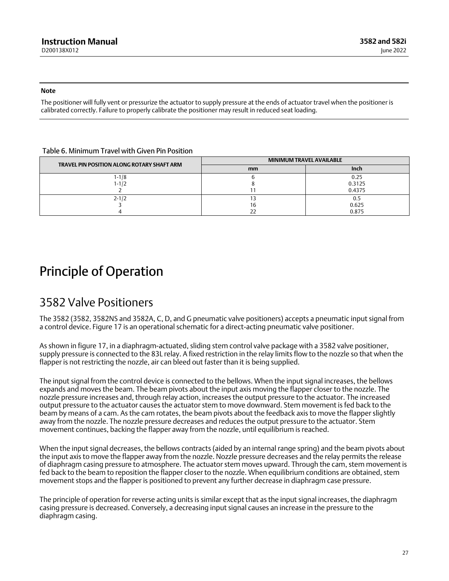<span id="page-26-0"></span>**Note**

The positioner will fully vent or pressurize the actuator to supply pressure at the ends of actuator travel when the positioner is calibrated correctly. Failure to properly calibrate the positioner may result in reduced seat loading.

### Table 6. Minimum Travel with Given Pin Position

| TRAVEL PIN POSITION ALONG ROTARY SHAFT ARM | <b>MINIMUM TRAVEL AVAILABLE</b> |             |  |  |
|--------------------------------------------|---------------------------------|-------------|--|--|
|                                            | mm                              | <b>Inch</b> |  |  |
| $1 - 1/8$                                  |                                 | 0.25        |  |  |
| $1 - 1/2$                                  |                                 | 0.3125      |  |  |
|                                            |                                 | 0.4375      |  |  |
| $2 - 1/2$                                  |                                 | 0.5         |  |  |
|                                            | 16                              | 0.625       |  |  |
|                                            |                                 | 0.875       |  |  |

# Principle of Operation

## 3582 Valve Positioners

The 3582 (3582, 3582NS and 3582A, C, D, and G pneumatic valve positioners) accepts a pneumatic input signal from a control device. Figure [17](#page-27-0) is an operational schematic for a direct-acting pneumatic valve positioner.

As shown in figure [17,](#page-27-0) in a diaphragm‐actuated, sliding stem control valve package with a 3582 valve positioner, supply pressure is connected to the 83L relay. A fixed restriction in the relay limits flow to the nozzle so that when the flapper is not restricting the nozzle, air can bleed out faster than it is being supplied.

The input signal from the control device is connected to the bellows. When the input signal increases, the bellows expands and moves the beam. The beam pivots about the input axis moving the flapper closer to the nozzle. The nozzle pressure increases and, through relay action, increases the output pressure to the actuator. The increased output pressure to the actuator causes the actuator stem to move downward. Stem movement is fed back to the beam by means of a cam. As the cam rotates, the beam pivots about the feedback axis to move the flapper slightly away from the nozzle. The nozzle pressure decreases and reduces the output pressure to the actuator. Stem movement continues, backing the flapper away from the nozzle, until equilibrium is reached.

When the input signal decreases, the bellows contracts (aided by an internal range spring) and the beam pivots about the input axis to move the flapper away from the nozzle. Nozzle pressure decreases and the relay permits the release of diaphragm casing pressure to atmosphere. The actuator stem moves upward. Through the cam, stem movement is fed back to the beam to reposition the flapper closer to the nozzle. When equilibrium conditions are obtained, stem movement stops and the flapper is positioned to prevent any further decrease in diaphragm case pressure.

The principle of operation for reverse acting units is similar except that as the input signal increases, the diaphragm casing pressure is decreased. Conversely, a decreasing input signal causes an increase in the pressure to the diaphragm casing.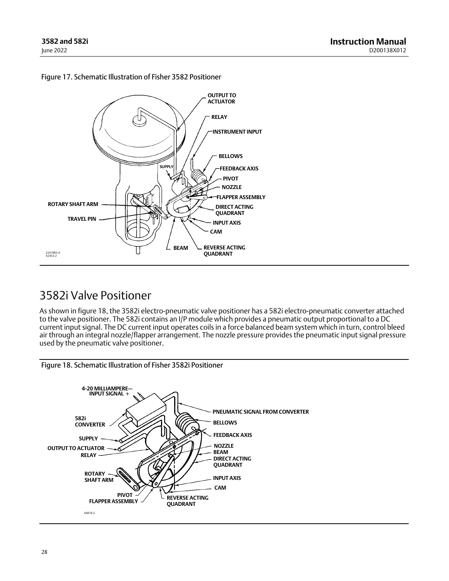

## <span id="page-27-0"></span>Figure 17. Schematic Illustration of Fisher 3582 Positioner

## 3582i Valve Positioner

As shown in figure 18, the 3582i electro-pneumatic valve positioner has a 582i electro-pneumatic converter attached to the valve positioner. The 582i contains an I/P module which provides a pneumatic output proportional to a DC current input signal. The DC current input operates coils in a force balanced beam system which in turn, control bleed air through an integral nozzle/flapper arrangement. The nozzle pressure provides the pneumatic input signal pressure used by the pneumatic valve positioner.



Figure 18. Schematic Illustration of Fisher 3582i Positioner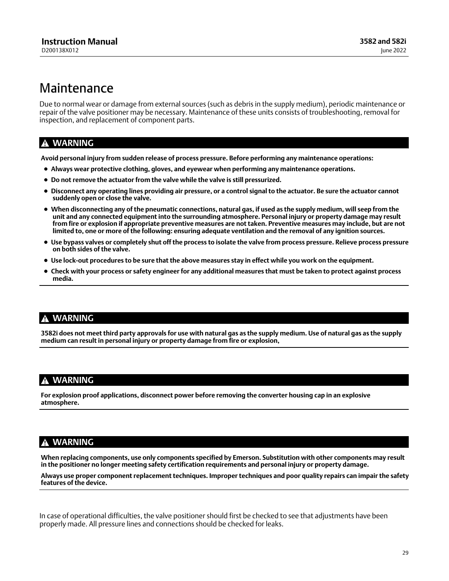# <span id="page-28-0"></span>Maintenance

Due to normal wear or damage from external sources (such as debris in the supply medium), periodic maintenance or repair of the valve positioner may be necessary. Maintenance of these units consists of troubleshooting, removal for inspection, and replacement of component parts.

## **WARNING**

**Avoid personal injury from sudden release of process pressure. Before performing any maintenance operations:**

- **Always wear protective clothing, gloves, and eyewear when performing any maintenance operations.**
- **Do not remove the actuator from the valve while the valve is still pressurized.**
- **Disconnect any operating lines providing air pressure, or a control signal to the actuator. Be sure the actuator cannot suddenly open or close the valve.**
- **When disconnecting any of the pneumatic connections, natural gas, if used as the supply medium, will seep from the unit and any connected equipment into the surrounding atmosphere. Personal injury or property damage may result from fire or explosion if appropriate preventive measures are not taken. Preventive measures may include, but are not limited to, one or more of the following: ensuring adequate ventilation and the removal of any ignition sources.**
- **Use bypass valves or completely shut off the process to isolate the valve from process pressure. Relieve process pressure on both sides of the valve.**
- **Use lock‐out procedures to be sure that the above measures stay in effect while you work on the equipment.**
- **Check with your process or safety engineer for any additional measures that must be taken to protect against process media.**

## **WARNING**

**3582i does not meet third party approvals for use with natural gas as the supply medium. Use of natural gas as the supply medium can result in personal injury or property damage from fire or explosion,**

## **WARNING**

**For explosion proof applications, disconnect power before removing the converter housing cap in an explosive atmosphere.**

## **WARNING**

**When replacing components, use only components specified by Emerson. Substitution with other components may result in the positioner no longer meeting safety certification requirements and personal injury or property damage.**

**Always use proper component replacement techniques. Improper techniques and poor quality repairs can impair the safety features of the device.**

In case of operational difficulties, the valve positioner should first be checked to see that adjustments have been properly made. All pressure lines and connections should be checked for leaks.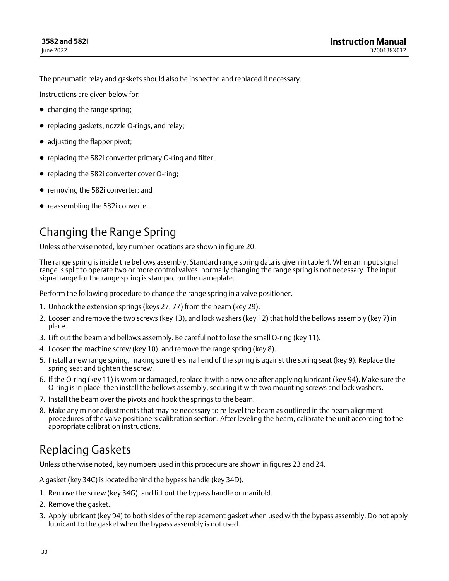<span id="page-29-0"></span>The pneumatic relay and gaskets should also be inspected and replaced if necessary.

Instructions are given below for:

- changing the range spring;
- replacing gaskets, nozzle O-rings, and relay;
- adjusting the flapper pivot;
- replacing the 582i converter primary O-ring and filter;
- replacing the 582i converter cover O-ring;
- removing the 582i converter; and
- reassembling the 582i converter.

# Changing the Range Spring

Unless otherwise noted, key number locations are shown in figure [20.](#page-35-0)

The range spring is inside the bellows assembly. Standard range spring data is given in table [4](#page-21-0). When an input signal range is split to operate two or more control valves, normally changing the range spring is not necessary. The input signal range for the range spring is stamped on the nameplate.

Perform the following procedure to change the range spring in a valve positioner.

- 1. Unhook the extension springs (keys 27, 77) from the beam (key 29).
- 2. Loosen and remove the two screws (key 13), and lock washers (key 12) that hold the bellows assembly (key 7) in place.
- 3. Lift out the beam and bellows assembly. Be careful not to lose the small O‐ring (key 11).
- 4. Loosen the machine screw (key 10), and remove the range spring (key 8).
- 5. Install a new range spring, making sure the small end of the spring is against the spring seat (key 9). Replace the spring seat and tighten the screw.
- 6. If the O‐ring (key 11) is worn or damaged, replace it with a new one after applying lubricant (key 94). Make sure the O‐ring is in place, then install the bellows assembly, securing it with two mounting screws and lock washers.
- 7. Install the beam over the pivots and hook the springs to the beam.
- 8. Make any minor adjustments that may be necessary to re‐level the beam as outlined in the beam alignment procedures of the valve positioners calibration section. After leveling the beam, calibrate the unit according to the appropriate calibration instructions.

# Replacing Gaskets

Unless otherwise noted, key numbers used in this procedure are shown in figures [23](#page-38-0) and [24.](#page-39-0)

A gasket (key 34C) is located behind the bypass handle (key 34D).

- 1. Remove the screw (key 34G), and lift out the bypass handle or manifold.
- 2. Remove the gasket.
- 3. Apply lubricant (key 94) to both sides of the replacement gasket when used with the bypass assembly. Do not apply lubricant to the gasket when the bypass assembly is not used.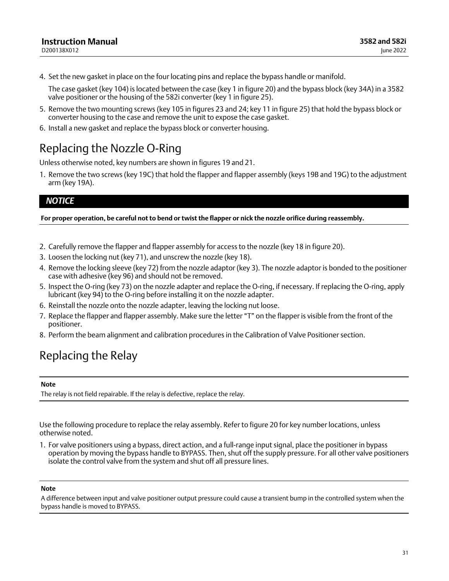<span id="page-30-0"></span>4. Set the new gasket in place on the four locating pins and replace the bypass handle or manifold.

The case gasket (key 104) is located between the case (key 1 in figure [20\)](#page-35-0) and the bypass block (key 34A) in a 3582 valve positioner or the housing of the 582i converter (key 1 in figure [25\)](#page-40-0).

- 5. Remove the two mounting screws (key 105 in figures [23](#page-38-0) and [24](#page-39-0); key 11 in figure [25](#page-40-0)) that hold the bypass block or converter housing to the case and remove the unit to expose the case gasket.
- 6. Install a new gasket and replace the bypass block or converter housing.

## Replacing the Nozzle O‐Ring

Unless otherwise noted, key numbers are shown in figures [19](#page-34-0) and [21](#page-36-0).

1. Remove the two screws (key 19C) that hold the flapper and flapper assembly (keys 19B and 19G) to the adjustment arm (key 19A).

## *NOTICE*

**For proper operation, be careful not to bend or twist the flapper or nick the nozzle orifice during reassembly.**

- 2. Carefully remove the flapper and flapper assembly for access to the nozzle (key 18 in figure [20](#page-35-0)).
- 3. Loosen the locking nut (key 71), and unscrew the nozzle (key 18).
- 4. Remove the locking sleeve (key 72) from the nozzle adaptor (key 3). The nozzle adaptor is bonded to the positioner case with adhesive (key 96) and should not be removed.
- 5. Inspect the O-ring (key 73) on the nozzle adapter and replace the O-ring, if necessary. If replacing the O-ring, apply lubricant (key 94) to the O‐ring before installing it on the nozzle adapter.
- 6. Reinstall the nozzle onto the nozzle adapter, leaving the locking nut loose.
- 7. Replace the flapper and flapper assembly. Make sure the letter "T" on the flapper is visible from the front of the positioner.
- 8. Perform the beam alignment and calibration procedures in the Calibration of Valve Positioner section.

# Replacing the Relay

### **Note**

The relay is not field repairable. If the relay is defective, replace the relay.

Use the following procedure to replace the relay assembly. Refer to figure [20](#page-35-0) for key number locations, unless otherwise noted.

1. For valve positioners using a bypass, direct action, and a full‐range input signal, place the positioner in bypass operation by moving the bypass handle to BYPASS. Then, shut off the supply pressure. For all other valve positioners isolate the control valve from the system and shut off all pressure lines.

### **Note**

A difference between input and valve positioner output pressure could cause a transient bump in the controlled system when the bypass handle is moved to BYPASS.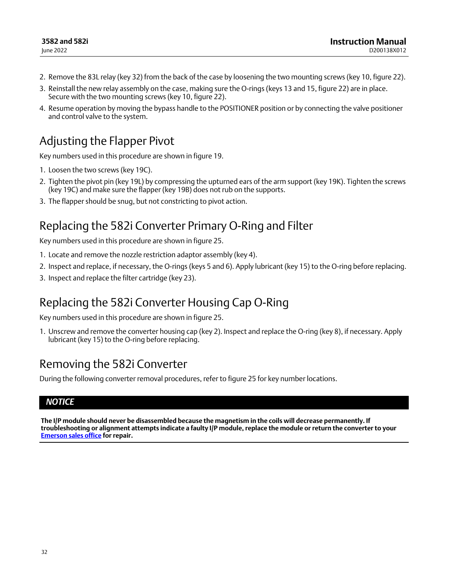- <span id="page-31-0"></span>2. Remove the 83L relay (key 32) from the back of the case by loosening the two mounting screws (key 10, figure [22](#page-36-0)).
- 3. Reinstall the new relay assembly on the case, making sure the O‐rings (keys 13 and 15, figure [22\)](#page-36-0) are in place. Secure with the two mounting screws (key 10, figure [22\)](#page-36-0).
- 4. Resume operation by moving the bypass handle to the POSITIONER position or by connecting the valve positioner and control valve to the system.

# Adjusting the Flapper Pivot

Key numbers used in this procedure are shown in figure [19](#page-34-0).

- 1. Loosen the two screws (key 19C).
- 2. Tighten the pivot pin (key 19L) by compressing the upturned ears of the arm support (key 19K). Tighten the screws (key 19C) and make sure the flapper (key 19B) does not rub on the supports.
- 3. The flapper should be snug, but not constricting to pivot action.

# Replacing the 582i Converter Primary O‐Ring and Filter

Key numbers used in this procedure are shown in figure [25](#page-40-0).

- 1. Locate and remove the nozzle restriction adaptor assembly (key 4).
- 2. Inspect and replace, if necessary, the O-rings (keys 5 and 6). Apply lubricant (key 15) to the O-ring before replacing.
- 3. Inspect and replace the filter cartridge (key 23).

## Replacing the 582i Converter Housing Cap O‐Ring

Key numbers used in this procedure are shown in figure [25](#page-40-0).

1. Unscrew and remove the converter housing cap (key 2). Inspect and replace the O‐ring (key 8), if necessary. Apply lubricant (key 15) to the O-ring before replacing.

## Removing the 582i Converter

During the following converter removal procedures, refer to figure [25](#page-40-0) for key number locations.

## *NOTICE*

**The I/P module should never be disassembled because the magnetism in the coils will decrease permanently. If troubleshooting or alignment attempts indicate a faulty I/P module, replace the module or return the converter to your [Emerson sales office](http://www.emerson.com/en-us/contact-us) for repair.**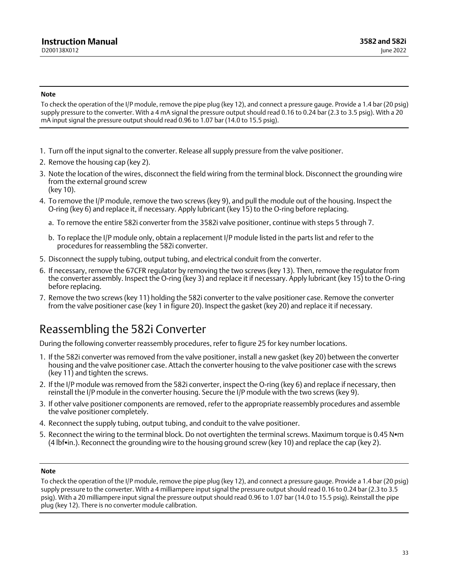#### <span id="page-32-0"></span>**Note**

To check the operation of the I/P module, remove the pipe plug (key 12), and connect a pressure gauge. Provide a 1.4 bar (20 psig) supply pressure to the converter. With a 4 mA signal the pressure output should read 0.16 to 0.24 bar (2.3 to 3.5 psig). With a 20 mA input signal the pressure output should read 0.96 to 1.07 bar (14.0 to 15.5 psig).

- 1. Turn off the input signal to the converter. Release all supply pressure from the valve positioner.
- 2. Remove the housing cap (key 2).
- 3. Note the location of the wires, disconnect the field wiring from the terminal block. Disconnect the grounding wire from the external ground screw (key 10).
- 4. To remove the I/P module, remove the two screws (key 9), and pull the module out of the housing. Inspect the O‐ring (key 6) and replace it, if necessary. Apply lubricant (key 15) to the O‐ring before replacing.
	- a. To remove the entire 582i converter from the 3582i valve positioner, continue with steps 5 through 7.
	- b. To replace the I/P module only, obtain a replacement I/P module listed in the parts list and refer to the procedures for reassembling the 582i converter.
- 5. Disconnect the supply tubing, output tubing, and electrical conduit from the converter.
- 6. If necessary, remove the 67CFR regulator by removing the two screws (key 13). Then, remove the regulator from the converter assembly. Inspect the O‐ring (key 3) and replace it if necessary. Apply lubricant (key 15) to the O‐ring before replacing.
- 7. Remove the two screws (key 11) holding the 582i converter to the valve positioner case. Remove the converter from the valve positioner case (key 1 in figure [20\)](#page-35-0). Inspect the gasket (key 20) and replace it if necessary.

## Reassembling the 582i Converter

During the following converter reassembly procedures, refer to figure [25](#page-40-0) for key number locations.

- 1. If the 582i converter was removed from the valve positioner, install a new gasket (key 20) between the converter housing and the valve positioner case. Attach the converter housing to the valve positioner case with the screws (key 11) and tighten the screws.
- 2. If the I/P module was removed from the 582i converter, inspect the O-ring (key 6) and replace if necessary, then reinstall the I/P module in the converter housing. Secure the I/P module with the two screws (key 9).
- 3. If other valve positioner components are removed, refer to the appropriate reassembly procedures and assemble the valve positioner completely.
- 4. Reconnect the supply tubing, output tubing, and conduit to the valve positioner.
- 5. Reconnect the wiring to the terminal block. Do not overtighten the terminal screws. Maximum torque is 0.45 Nom (4 lbfin.). Reconnect the grounding wire to the housing ground screw (key 10) and replace the cap (key 2).

### **Note**

To check the operation of the I/P module, remove the pipe plug (key 12), and connect a pressure gauge. Provide a 1.4 bar (20 psig) supply pressure to the converter. With a 4 milliampere input signal the pressure output should read 0.16 to 0.24 bar (2.3 to 3.5 psig). With a 20 milliampere input signal the pressure output should read 0.96 to 1.07 bar (14.0 to 15.5 psig). Reinstall the pipe plug (key 12). There is no converter module calibration.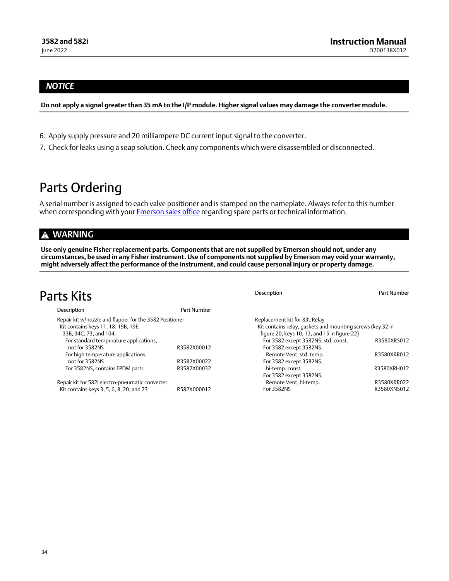## <span id="page-33-0"></span>*NOTICE*

**Do not apply a signal greater than 35 mA to the I/P module. Higher signal values may damage the converter module.**

- 6. Apply supply pressure and 20 milliampere DC current input signal to the converter.
- 7. Check for leaks using a soap solution. Check any components which were disassembled or disconnected.

# Parts Ordering

A serial number is assigned to each valve positioner and is stamped on the nameplate. Always refer to this number when corresponding with your **Emerson sales office** regarding spare parts or technical information.

## **WARNING**

**Use only genuine Fisher replacement parts. Components that are not supplied by Emerson should not, under any circumstances, be used in any Fisher instrument. Use of components not supplied by Emerson may void your warranty, might adversely affect the performance of the instrument, and could cause personal injury or property damage.**

| Parts Kits                                                    |             | <b>Description</b>                                                                                         | Part Number |
|---------------------------------------------------------------|-------------|------------------------------------------------------------------------------------------------------------|-------------|
| Description                                                   | Part Number |                                                                                                            |             |
| Repair kit w/nozzle and flapper for the 3582 Positioner       |             | Replacement kit for 83L Relay                                                                              |             |
| Kit contains keys 11, 18, 19B, 19E,<br>33B, 34C, 73, and 104. |             | Kit contains relay, gaskets and mounting screws (key 32 in<br>figure 20, keys 10, 13, and 15 in figure 22) |             |
| For standard temperature applications,                        |             | For 3582 except 3582NS, std. const.                                                                        | R3580XRS012 |
| not for 3582NS                                                | R3582X00012 | For 3582 except 3582NS,                                                                                    |             |
| For high temperature applications,                            |             | Remote Vent, std. temp.                                                                                    | R3580XRR012 |
| not for 3582NS                                                | R3582X00022 | For 3582 except 3582NS,                                                                                    |             |
| For 3582NS, contains EPDM parts                               | R3582X00032 | hi-temp. const.                                                                                            | R3580XRH012 |
|                                                               |             | For 3582 except 3582NS,                                                                                    |             |
| Repair kit for 582i electro-pneumatic converter               |             | Remote Vent, hi-temp.                                                                                      | R3580XRR022 |
| Kit contains keys 3, 5, 6, 8, 20, and 23                      | R582X000012 | For 3582NS                                                                                                 | R3580XNS012 |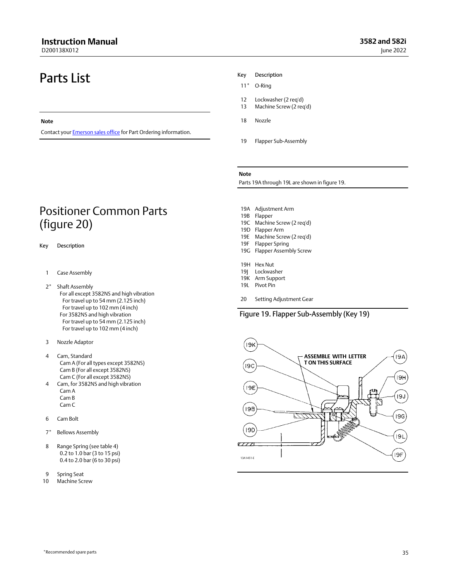<span id="page-34-0"></span>D200138X012

# Parts List

#### **Note**

Contact your **Emerson sales office** for Part Ordering information.

## Positioner Common Parts (figure [20\)](#page-35-0)

#### Key Description

- 1 Case Assembly
- 2\* Shaft Assembly For all except 3582NS and high vibration For travel up to 54 mm (2.125 inch) For travel up to 102 mm (4 inch) For 3582NS and high vibration For travel up to 54 mm (2.125 inch) For travel up to 102 mm (4 inch)
- 3 Nozzle Adaptor
- 4 Cam, Standard Cam A (For all types except 3582NS) Cam B (For all except 3582NS) Cam C (For all except 3582NS)
- 4 Cam, for 3582NS and high vibration Cam A Cam B Cam C
- 6 Cam Bolt
- 7\* Bellows Assembly
- 8 Range Spring (see table [4\)](#page-21-0) 0.2 to 1.0 bar (3 to 15 psi) 0.4 to 2.0 bar (6 to 30 psi)
- 9 Spring Seat
- 10 Machine Screw

#### Key Description

- 11\* O‐Ring
- 12 Lockwasher (2 req'd)
- 13 Machine Screw (2 req'd)
- 18 Nozzle
- 19 Flapper Sub-Assembly

#### **Note**

Parts 19A through 19L are shown in figure 19.

- 19A Adjustment Arm
- 19B Flapper
- 19C Machine Screw (2 req'd)
- 19D Flapper Arm
- 19E Machine Screw (2 req'd) 19F Flapper Spring
- 19G Flapper Assembly Screw
- 19H Hex Nut
- 19J Lockwasher
- 19K Arm Support
- 19L Pivot Pin
- 20 Setting Adjustment Gear

### Figure 19. Flapper Sub‐Assembly (Key 19)

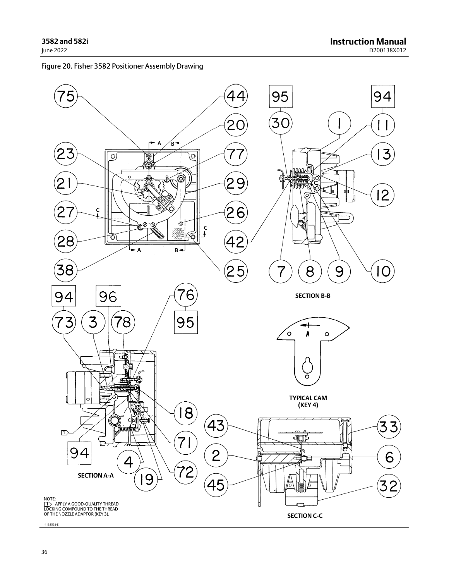## <span id="page-35-0"></span>Figure 20. Fisher 3582 Positioner Assembly Drawing

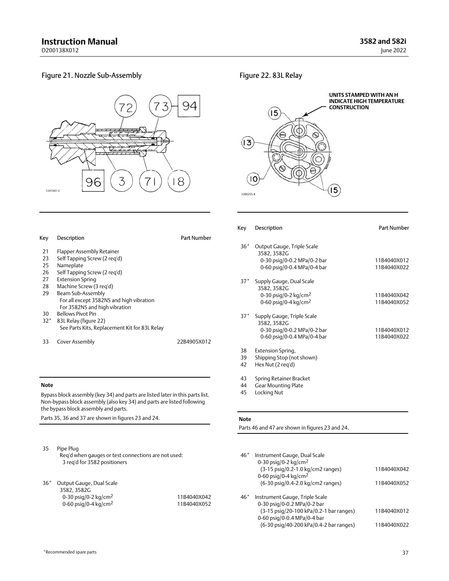Part Number

11B4040X012 11B4040X022

11B4040X042 11B4040X052

11B4040X012 11B4040X022

#### <span id="page-36-0"></span>Figure 21. Nozzle Sub‐Assembly



#### Figure 22. 83L Relay



|                                                                                                                                              |             | Key            | Description                                                                                                     |
|----------------------------------------------------------------------------------------------------------------------------------------------|-------------|----------------|-----------------------------------------------------------------------------------------------------------------|
| <b>Description</b>                                                                                                                           | Part Number |                |                                                                                                                 |
| lapper Assembly Retainer<br>Self Tapping Screw (2 reg'd)<br>Nameplate<br>Self Tapping Screw (2 reg'd)                                        |             | $36*$          | Output Gauge, Triple Scale<br>3582, 3582G<br>0-30 psig/0-0.2 MPa/0-2 bar<br>0-60 psig/0-0.4 MPa/0-4 bar         |
| xtension Spring<br>Machine Screw (3 reg'd)<br>3eam Sub-Assembly<br>For all except 3582NS and high vibration<br>For 3582NS and high vibration |             | $37*$          | Supply Gauge, Dual Scale<br>3582, 3582G<br>0-30 psig/0-2 kg/cm <sup>2</sup><br>0-60 psig/0-4 kg/cm <sup>2</sup> |
| Bellows Pivot Pin<br>33L Relay (figure 22)<br>See Parts Kits, Replacement Kit for 83L Relay<br>Cover Assembly                                | 22B4905X012 | $37*$          | Supply Gauge, Triple Scale<br>3582, 3582G<br>0-30 psig/0-0.2 MPa/0-2 bar<br>0-60 psig/0-0.4 MPa/0-4 bar         |
|                                                                                                                                              |             | 38<br>39<br>42 | Extension Spring,<br>Shipping Stop (not shown)<br>Hex Nut (2 reg'd)                                             |

#### **Note**

Key Description

30 Bellows Pivot Pin 32\* 83L Relay (figure 22)

33 Cover Assembly

21 Flapper Assembly Retainer<br>23 Self Tapping Screw (2 reg'd 23 Self Tapping Screw (2 req'd)<br>25 Nameplate Nameplate 26 Self Tapping Screw (2 req'd) 27 Extension Spring 28 Machine Screw (3 req'd) 29 Beam Sub‐Assembly

Bypass block assembly (key 34) and parts are listed later in this parts list. Non‐bypass block assembly (also key 34) and parts are listed following the bypass block assembly and parts.

Parts 35, 36 and 37 are shown in figures [23](#page-38-0) and [24](#page-39-0).

| 35 Pipe Plug                                        |
|-----------------------------------------------------|
| Reg'd when gauges or test connections are not used: |
| 3 reg'd for 3582 positioners                        |

36\* Output Gauge, Dual Scale 3582, 3582G 0-30 psig/0-2 kg/cm<sup>2</sup> 0-60 psig/0-4 kg/cm<sup>2</sup>

| 11B4040X042 |
|-------------|
| 11B4040X052 |

#### **Note**

Parts 46 and 47 are shown in figures [23](#page-38-0) and [24](#page-39-0).

43 Spring Retainer Bracket 44 Gear Mounting Plate 45 Locking Nut

| $46*$ | Instrument Gauge, Dual Scale<br>0-30 psig/0-2 kg/cm <sup>2</sup>       |             |
|-------|------------------------------------------------------------------------|-------------|
|       | (3-15 psig/0.2-1.0 kg/cm2 ranges)                                      | 11B4040X042 |
|       | 0-60 psig/0-4 kg/cm <sup>2</sup><br>(6-30 psig/0.4-2.0 kg/cm2 ranges)  | 11B4040X052 |
|       |                                                                        |             |
| $46*$ | Instrument Gauge, Triple Scale                                         |             |
|       | 0-30 psig/0-0.2 MPa/0-2 bar                                            | 11B4040X012 |
|       | (3-15 psig/20-100 kPa/0.2-1 bar ranges)<br>0-60 psig/0-0.4 MPa/0-4 bar |             |
|       | (6-30 psig/40-200 kPa/0.4-2 bar ranges)                                | 11B4040X022 |
|       |                                                                        |             |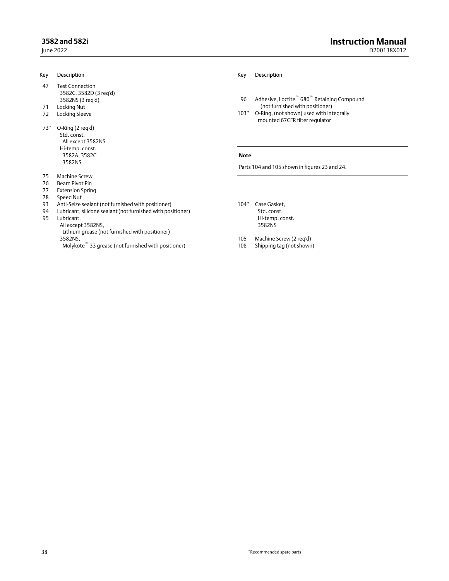| Key   | Description                                                                                       | Key         | Description                                                                |
|-------|---------------------------------------------------------------------------------------------------|-------------|----------------------------------------------------------------------------|
| 47    | <b>Test Connection</b><br>3582C, 3582D (3 reg'd)<br>3582NS (3 reg'd)                              | 96          | Adhesive, Loctite 680 Retaining Compound                                   |
| 71    | Locking Nut                                                                                       |             | (not furnished with positioner)                                            |
| 72    | Locking Sleeve                                                                                    | $103*$      | O-Ring, (not shown) used with integrally<br>mounted 67CFR filter regulator |
| $73*$ | O-Ring (2 reg'd)<br>Std. const.<br>All except 3582NS<br>Hi-temp. const.<br>3582A, 3582C<br>3582NS | <b>Note</b> | Parts 104 and 105 shown in figures 23 and 24.                              |
| 75    | Machine Screw                                                                                     |             |                                                                            |
| 76    | Beam Pivot Pin                                                                                    |             |                                                                            |
| 77    | <b>Extension Spring</b>                                                                           |             |                                                                            |
| 78    | Speed Nut                                                                                         |             |                                                                            |
| 93    | Anti-Seize sealant (not furnished with positioner)                                                | $104*$      | Case Gasket.                                                               |
| 94    | Lubricant, silicone sealant (not furnished with positioner)                                       |             | Std. const.                                                                |

95 Lubricant,

All except 3582NS,

 Lithium grease (not furnished with positioner) 3582NS, Molykote<sup> $\degree$ </sup> 33 grease (not furnished with positioner) Hi-temp. const.

3582NS

105 Machine Screw (2 req'd)<br>108 Shipping tag (not shown)

Shipping tag (not shown)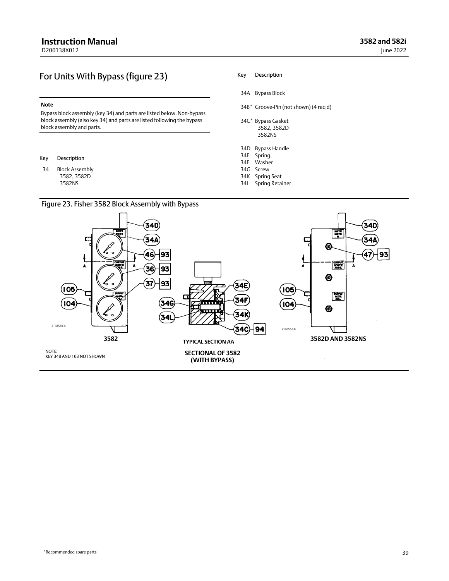## <span id="page-38-0"></span>For Units With Bypass (figure 23)

#### **Note**

Bypass block assembly (key 34) and parts are listed below. Non‐bypass block assembly (also key 34) and parts are listed following the bypass block assembly and parts.

#### Key Description

34 Block Assembly 3582, 3582D 3582NS

## Figure 23. Fisher 3582 Block Assembly with Bypass

#### Key Description

- 34A Bypass Block
- 34B\* Groove‐Pin (not shown) (4 req'd)
- 34C\* Bypass Gasket 3582, 3582D 3582NS
- 34D Bypass Handle
- 34E Spring,
- 34F Washer
- 34G Screw
- 34K Spring Seat
- 34L Spring Retainer

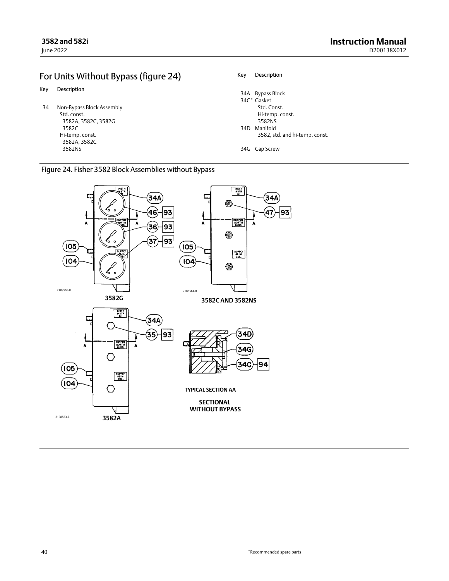## <span id="page-39-0"></span>For Units Without Bypass (figure 24)

- Key Description
- 34 Non‐Bypass Block Assembly Std. const. 3582A, 3582C, 3582G 3582C Hi-temp. const. 3582A, 3582C 3582NS

#### Key Description

| 34A Bypass Block               |
|--------------------------------|
| 34C* Gasket                    |
| Std. Const.                    |
| Hi-temp. const.                |
| 3582NS                         |
| 34D Manifold                   |
| 3582, std. and hi-temp. const. |
|                                |
| 34G Cap Screw                  |

## Figure 24. Fisher 3582 Block Assemblies without Bypass

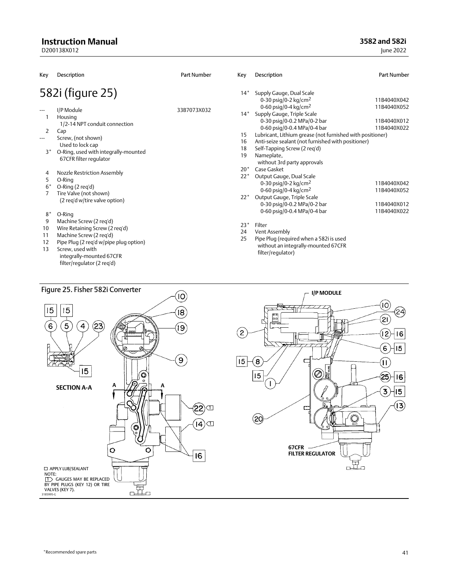## <span id="page-40-0"></span>**Instruction Manual**

D200138X012

**3582 and 582i**

June 2022

| Key                       | Description                                                                                                                                                                                                  | Part Number | Key                     | Description                                                                                                                                                                                                                                     | <b>Part Number</b>                        |
|---------------------------|--------------------------------------------------------------------------------------------------------------------------------------------------------------------------------------------------------------|-------------|-------------------------|-------------------------------------------------------------------------------------------------------------------------------------------------------------------------------------------------------------------------------------------------|-------------------------------------------|
|                           | 582i (figure 25)                                                                                                                                                                                             |             | $14*$                   | Supply Gauge, Dual Scale<br>0-30 psig/0-2 kg/cm <sup>2</sup>                                                                                                                                                                                    | 11B4040X042                               |
| $---$<br>2<br>$---$       | I/P Module<br>Housing<br>1/2-14 NPT conduit connection<br>Cap<br>Screw, (not shown)<br>Used to lock cap                                                                                                      | 33B7073X032 | $14*$<br>15<br>16       | 0-60 psig/0-4 kg/cm <sup>2</sup><br>Supply Gauge, Triple Scale<br>0-30 psig/0-0.2 MPa/0-2 bar<br>0-60 psig/0-0.4 MPa/0-4 bar<br>Lubricant, Lithium grease (not furnished with positioner)<br>Anti-seize sealant (not furnished with positioner) | 11B4040X052<br>11B4040X012<br>11B4040X022 |
| $3^*$                     | O-Ring, used with integrally-mounted<br>67CFR filter regulator                                                                                                                                               |             | 18<br>19                | Self-Tapping Screw (2 reg'd)<br>Nameplate,<br>without 3rd party approvals                                                                                                                                                                       |                                           |
| 4<br>5<br>$6*$            | Nozzle Restriction Assembly<br>O-Ring<br>O-Ring (2 reg'd)<br>Tire Valve (not shown)                                                                                                                          |             | $20*$<br>$22*$<br>$22*$ | Case Gasket<br>Output Gauge, Dual Scale<br>0-30 psig/0-2 kg/cm <sup>2</sup><br>0-60 psig/0-4 kg/cm <sup>2</sup>                                                                                                                                 | 11B4040X042<br>11B4040X052                |
| $8*$                      | (2 reg'd w/tire valve option)<br>O-Ring                                                                                                                                                                      |             |                         | Output Gauge, Triple Scale<br>0-30 psig/0-0.2 MPa/0-2 bar<br>0-60 psig/0-0.4 MPa/0-4 bar                                                                                                                                                        | 11B4040X012<br>11B4040X022                |
| 9<br>10<br>11<br>12<br>13 | Machine Screw (2 reg'd)<br>Wire Retaining Screw (2 reg'd)<br>Machine Screw (2 reg'd)<br>Pipe Plug (2 reg'd w/pipe plug option)<br>Screw, used with<br>integrally-mounted 67CFR<br>filter/regulator (2 reg'd) |             | $23*$<br>24<br>25       | Filter<br>Vent Assembly<br>Pipe Plug (required when a 582i is used<br>without an integrally-mounted 67CFR<br>filter/regulator)                                                                                                                  |                                           |





\*Recommended spare parts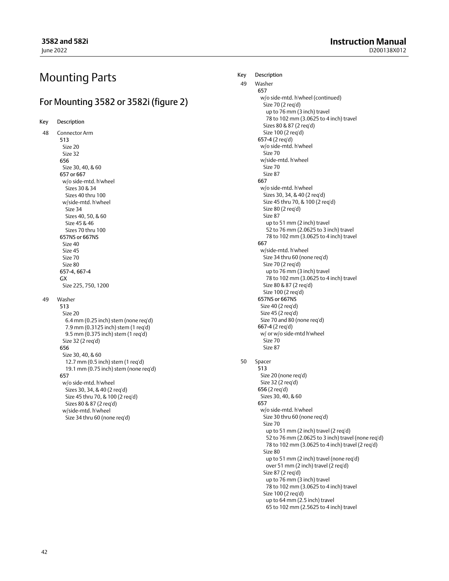## Mounting Parts

## For Mounting 3582 or 3582i (figure [2](#page-8-0))

Key Description

48 Connector Arm 513 Size 20 Size 32 656 Size 30, 40, & 60 657 or 667 w/o side‐mtd. h'wheel Sizes 30 & 34 Sizes 40 thru 100 w/side‐mtd. h'wheel Size 34 Sizes 40, 50, & 60 Size 45 & 46 Sizes 70 thru 100 657NS or 667NS Size 40 Size 45 Size 70 Size 80 657‐4, 667‐4 GX Size 225, 750, 1200 49 Washer 513 Size 20 6.4 mm (0.25 inch) stem (none req'd) 7.9 mm (0.3125 inch) stem (1 req'd) 9.5 mm (0.375 inch) stem (1 req'd) Size 32 (2 req'd) 656 Size 30, 40, & 60 12.7 mm (0.5 inch) stem (1 req'd) 19.1 mm (0.75 inch) stem (none req'd) 657 w/o side‐mtd. h'wheel Sizes 30, 34, & 40 (2 req'd) Size 45 thru 70, & 100 (2 req'd) Sizes 80 & 87 (2 req'd) w/side‐mtd. h'wheel Size 34 thru 60 (none req'd)

#### Key Description

49 Washer 657 w/o side‐mtd. h'wheel (continued) Size 70 (2 req'd) up to 76 mm (3 inch) travel 78 to 102 mm (3.0625 to 4 inch) travel Sizes 80 & 87 (2 req'd) Size 100 (2 req'd) 657‐4 (2 req'd) w/o side‐mtd. h'wheel Size 70 w/side‐mtd. h'wheel Size 70 Size 87 667 w/o side‐mtd. h'wheel Sizes 30, 34, & 40 (2 req'd) Size 45 thru 70, & 100 (2 req'd) Size 80 (2 req'd) Size 87 up to 51 mm (2 inch) travel 52 to 76 mm (2.0625 to 3 inch) travel 78 to 102 mm (3.0625 to 4 inch) travel 667 w/side‐mtd. h'wheel Size 34 thru 60 (none req'd) Size 70 (2 req'd) up to 76 mm (3 inch) travel 78 to 102 mm (3.0625 to 4 inch) travel Size 80 & 87 (2 req'd) Size 100 (2 req'd) 657NS or 667NS Size 40 (2 req'd) Size 45 (2 req'd) Size 70 and 80 (none req'd) 667‐4 (2 req'd) w/ or w/o side‐mtd h'wheel Size 70 Size 87

### 50 Spacer

513 Size 20 (none req'd) Size 32 (2 req'd) 656 (2 req'd) Sizes 30, 40, & 60 657 w/o side‐mtd. h'wheel Size 30 thru 60 (none req'd) Size 70 up to 51 mm (2 inch) travel (2 req'd) 52 to 76 mm (2.0625 to 3 inch) travel (none req'd) 78 to 102 mm (3.0625 to 4 inch) travel (2 req'd) Size 80 up to 51 mm (2 inch) travel (none req'd) over 51 mm (2 inch) travel (2 req'd) Size 87 (2 req'd) up to 76 mm (3 inch) travel 78 to 102 mm (3.0625 to 4 inch) travel Size 100 (2 req'd) up to 64 mm (2.5 inch) travel

65 to 102 mm (2.5625 to 4 inch) travel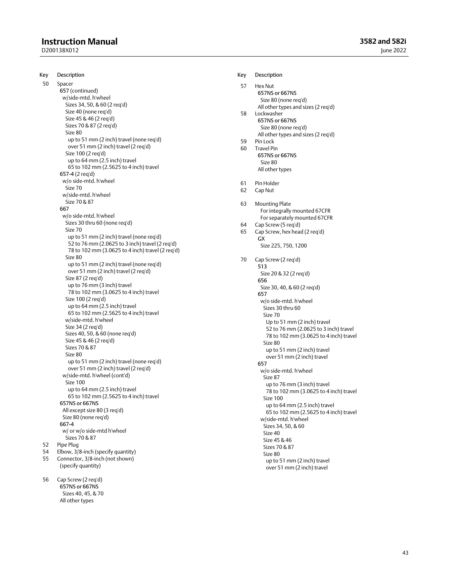## **Instruction Manual**

D200138X012

Key Description

50 Spacer 657 (continued) w/side‐mtd. h'wheel Sizes 34, 50, & 60 (2 req'd) Size 40 (none req'd) Size 45 & 46 (2 req'd) Sizes 70 & 87 (2 req'd) Size 80 up to 51 mm (2 inch) travel (none req'd) over 51 mm (2 inch) travel (2 req'd) Size 100 (2 req'd) up to 64 mm (2.5 inch) travel 65 to 102 mm (2.5625 to 4 inch) travel 657‐4 (2 req'd) w/o side‐mtd. h'wheel Size 70 w/side‐mtd. h'wheel Size 70 & 87 667 w/o side‐mtd. h'wheel Sizes 30 thru 60 (none req'd) Size 70 up to 51 mm (2 inch) travel (none req'd) 52 to 76 mm (2.0625 to 3 inch) travel (2 req'd) 78 to 102 mm (3.0625 to 4 inch) travel (2 req'd) Size 80 up to 51 mm (2 inch) travel (none req'd) over 51 mm (2 inch) travel (2 req'd) Size 87 (2 req'd) up to 76 mm (3 inch) travel 78 to 102 mm (3.0625 to 4 inch) travel Size 100 (2 req'd) up to 64 mm (2.5 inch) travel 65 to 102 mm (2.5625 to 4 inch) travel w/side‐mtd. h'wheel Size 34 (2 req'd) Sizes 40, 50, & 60 (none req'd) Size 45 & 46 (2 req'd) Sizes 70 & 87 Size 80 up to 51 mm (2 inch) travel (none req'd) over 51 mm (2 inch) travel (2 req'd) w/side‐mtd. h'wheel (cont'd) Size 100 up to 64 mm (2.5 inch) travel 65 to 102 mm (2.5625 to 4 inch) travel 657NS or 667NS All except size 80 (3 req'd) Size 80 (none req'd) 667‐4 w/ or w/o side‐mtd h'wheel Sizes 70 & 87 52 Pipe Plug 54 Elbow,  $3/8$ -inch (specify quantity)<br>55 Connector,  $3/8$ -inch (not shown) Connector, 3/8-inch (not shown) (specify quantity)

56 Cap Screw (2 req'd) 657NS or 667NS Sizes 40, 45, & 70 All other types

#### Key Description

| 57 | Hex Nut<br>657NS or 667NS<br>Size 80 (none req'd)                     |
|----|-----------------------------------------------------------------------|
|    | All other types and sizes (2 req'd)                                   |
| 58 | Lockwasher<br>657NS or 667NS                                          |
|    | Size 80 (none req'd)                                                  |
|    | All other types and sizes (2 req'd)                                   |
| 59 | Pin Lock                                                              |
| 60 | <b>Travel Pin</b>                                                     |
|    | 657NS or 667NS<br>Size 80                                             |
|    | All other types                                                       |
|    |                                                                       |
| 61 | Pin Holder                                                            |
| 62 | Cap Nut                                                               |
| 63 | Mounting Plate                                                        |
|    | For integrally mounted 67CFR                                          |
|    | For separately mounted 67CFR                                          |
| 64 | Cap Screw (5 req'd)                                                   |
| 65 | Cap Screw, hex head (2 req'd)<br>GX                                   |
|    | Size 225, 750, 1200                                                   |
| 70 |                                                                       |
|    | Cap Screw (2 reg'd)<br>513                                            |
|    | Size 20 & 32 (2 reg'd)                                                |
|    | 656                                                                   |
|    | Size 30, 40, & 60 (2 reg'd)                                           |
|    | 657<br>w/o side-mtd. h'wheel                                          |
|    | Sizes 30 thru 60                                                      |
|    | Size 70                                                               |
|    | Up to 51 mm (2 inch) travel                                           |
|    | 52 to 76 mm (2.0625 to 3 inch) travel                                 |
|    | 78 to 102 mm (3.0625 to 4 inch) travel<br>Size 80                     |
|    | up to 51 mm (2 inch) travel                                           |
|    | over 51 mm (2 inch) travel                                            |
|    | 657                                                                   |
|    | w/o side-mtd. h'wheel                                                 |
|    | Size 87                                                               |
|    | up to 76 mm (3 inch) travel<br>78 to 102 mm (3.0625 to 4 inch) travel |
|    | Size 100                                                              |
|    | up to 64 mm (2.5 inch) travel                                         |
|    | 65 to 102 mm (2.5625 to 4 inch) travel                                |
|    | w/side-mtd. h'wheel<br>Sizes 34, 50, & 60                             |
|    | Size 40                                                               |
|    | Size 45 & 46                                                          |
|    | Sizes 70 & 87                                                         |
|    | Size 80                                                               |
|    | up to 51 mm (2 inch) travel                                           |
|    | over 51 mm (2 inch) travel                                            |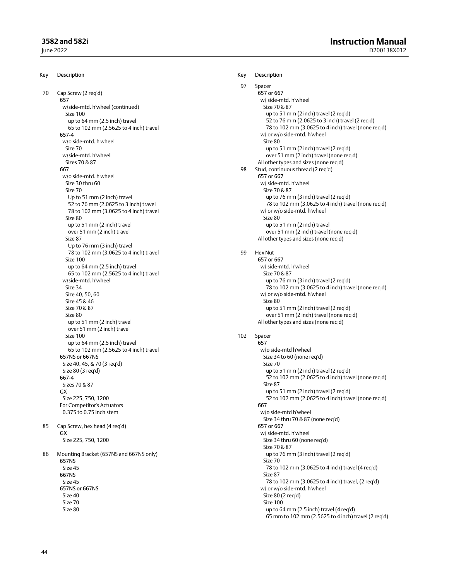### **3582 and 582i**

June 2022

Key Description 70 Cap Screw (2 req'd) 657 w/side‐mtd. h'wheel (continued) Size 100 up to 64 mm (2.5 inch) travel 65 to 102 mm (2.5625 to 4 inch) travel 657‐4 w/o side‐mtd. h'wheel Size 70 w/side‐mtd. h'wheel Sizes 70 & 87 667 w/o side‐mtd. h'wheel Size 30 thru 60 Size 70 Up to 51 mm (2 inch) travel 52 to 76 mm (2.0625 to 3 inch) travel 78 to 102 mm (3.0625 to 4 inch) travel Size 80 up to 51 mm (2 inch) travel over 51 mm (2 inch) travel Size 87 Up to 76 mm (3 inch) travel 78 to 102 mm (3.0625 to 4 inch) travel Size 100 up to 64 mm (2.5 inch) travel 65 to 102 mm (2.5625 to 4 inch) travel w/side‐mtd. h'wheel Size 34 Size 40, 50, 60 Size 45 & 46 Size 70 & 87 Size 80 up to 51 mm (2 inch) travel over 51 mm (2 inch) travel Size 100 up to 64 mm (2.5 inch) travel 65 to 102 mm (2.5625 to 4 inch) travel 657NS or 667NS Size 40, 45, & 70 (3 req'd) Size 80 (3 req'd) 667‐4 Sizes 70 & 87 GX Size 225, 750, 1200 For Competitor's Actuators 0.375 to 0.75 inch stem 85 Cap Screw, hex head (4 req'd) GX Size 225, 750, 1200 86 Mounting Bracket (657NS and 667NS only) 657NS Size 45 667NS Size 45 657NS or 667NS Size 40 Size 70 Size 80 Key Description 97 Spacer 657 or 667 w/ side‐mtd. h'wheel Size 70 & 87 up to 51 mm (2 inch) travel (2 req'd) 52 to 76 mm (2.0625 to 3 inch) travel (2 req'd) 78 to 102 mm (3.0625 to 4 inch) travel (none req'd) w/ or w/o side‐mtd. h'wheel Size 80 up to 51 mm (2 inch) travel (2 req'd) over 51 mm (2 inch) travel (none req'd) All other types and sizes (none req'd) 98 Stud, continuous thread (2 req'd) 657 or 667 w/ side‐mtd. h'wheel Size 70 & 87 up to 76 mm (3 inch) travel (2 req'd) 78 to 102 mm (3.0625 to 4 inch) travel (none req'd) w/ or w/o side‐mtd. h'wheel Size 80 up to 51 mm (2 inch) travel over 51 mm (2 inch) travel (none req'd) All other types and sizes (none req'd) 99 Hex Nut 657 or 667 w/ side‐mtd. h'wheel Size 70 & 87 up to 76 mm (3 inch) travel (2 req'd) 78 to 102 mm (3.0625 to 4 inch) travel (none req'd) w/ or w/o side‐mtd. h'wheel Size 80 up to 51 mm (2 inch) travel (2 req'd) over 51 mm (2 inch) travel (none req'd) All other types and sizes (none req'd) 102 Spacer 657 w/o side‐mtd h'wheel Size 34 to 60 (none req'd) Size 70 up to 51 mm (2 inch) travel (2 req'd) 52 to 102 mm (2.0625 to 4 inch) travel (none req'd) Size 87 up to 51 mm (2 inch) travel (2 req'd) 52 to 102 mm (2.0625 to 4 inch) travel (none req'd) 667 w/o side‐mtd h'wheel Size 34 thru 70 & 87 (none req'd) 657 or 667 w/ side‐mtd. h'wheel Size 34 thru 60 (none req'd) Size 70 & 87 up to 76 mm (3 inch) travel (2 req'd) Size 70 78 to 102 mm (3.0625 to 4 inch) travel (4 req'd) Size 87 78 to 102 mm (3.0625 to 4 inch) travel, (2 req'd) w/ or w/o side‐mtd. h'wheel Size 80 (2 req'd) Size 100 up to 64 mm (2.5 inch) travel (4 req'd) 65 mm to 102 mm (2.5625 to 4 inch) travel (2 req'd)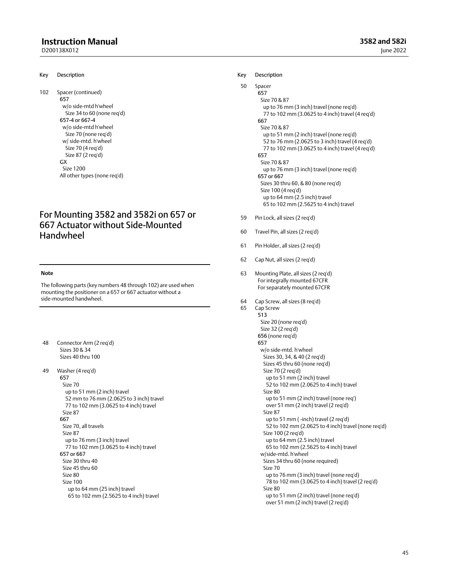## **Instruction Manual**

D200138X012

102 Spacer (continued)

657 w/o side‐mtd h'wheel Size 34 to 60 (none req'd) 657‐4 or 667‐4 w/o side‐mtd h'wheel Size 70 (none req'd) w/ side‐mtd. h'wheel Size 70 (4 req'd) Size 87 (2 req'd) GX Size 1200 All other types (none req'd)

## For Mounting 3582 and 3582i on 657 or 667 Actuator without Side‐Mounted Handwheel

#### **Note**

The following parts (key numbers 48 through 102) are used when mounting the positioner on a 657 or 667 actuator without a side‐mounted handwheel.

48 Connector Arm (2 req'd) Sizes 30 & 34 Sizes 40 thru 100

49 Washer (4 req'd) 657 Size 70 up to 51 mm (2 inch) travel 52 mm to 76 mm (2.0625 to 3 inch) travel 77 to 102 mm (3.0625 to 4 inch) travel Size 87 667 Size 70, all travels Size 87 up to 76 mm (3 inch) travel 77 to 102 mm (3.0625 to 4 inch) travel 657 or 667 Size 30 thru 40 Size 45 thru 60 Size 80 Size 100 up to 64 mm (25 inch) travel 65 to 102 mm (2.5625 to 4 inch) travel

### **3582 and 582i** June 2022

#### Key Description

```
50 Spacer
657
   Size 70 & 87
     up to 76 mm (3 inch) travel (none req'd)
      77 to 102 mm (3.0625 to 4 inch) travel (4 req'd)
667
    Size 70 & 87
      up to 51 mm (2 inch) travel (none req'd)
      52 to 76 mm (2.0625 to 3 inch) travel (4 req'd)
      77 to 102 mm (3.0625 to 4 inch) travel (4 req'd)
657
    Size 70 & 87
      up to 76 mm (3 inch) travel (none req'd)
657 or 667
   Sizes 30 thru 60, & 80 (none req'd)
    Size 100 (4 req'd)
      up to 64 mm (2.5 inch) travel
      65 to 102 mm (2.5625 to 4 inch) travel
```
- 59 Pin Lock, all sizes (2 req'd)
- 60 Travel Pin, all sizes (2 req'd)
- 61 Pin Holder, all sizes (2 req'd)
- 62 Cap Nut, all sizes (2 req'd)
- 63 Mounting Plate, all sizes (2 req'd) For integrally mounted 67CFR For separately mounted 67CFR
- 64 Cap Screw, all sizes (8 req'd)

```
65 Cap Screw
  513
    Size 20 (none req'd)
    Size 32 (2 req'd)
 656 (none req'd)
 657
    w/o side‐mtd. h'wheel
       Sizes 30, 34, & 40 (2 req'd)
       Sizes 45 thru 60 (none req'd)
       Size 70 (2 req'd)
         up to 51 mm (2 inch) travel
         52 to 102 mm (2.0625 to 4 inch) travel
       Size 80
         up to 51 mm (2 inch) travel (none req')
        over 51 mm (2 inch) travel (2 req'd)
       Size 87
         up to 51 mm ( ‐inch) travel (2 req'd)
         52 to 102 mm (2.0625 to 4 inch) travel (none req'd)
       Size 100 (2 req'd)
         up to 64 mm (2.5 inch) travel
         65 to 102 mm (2.5625 to 4 inch) travel
    w/side‐mtd. h'wheel
       Sizes 34 thru 60 (none required)
       Size 70
         up to 76 mm (3 inch) travel (none req'd)
         78 to 102 mm (3.0625 to 4 inch) travel (2 req'd)
       Size 80
         up to 51 mm (2 inch) travel (none req'd)
         over 51 mm (2 inch) travel (2 req'd)
```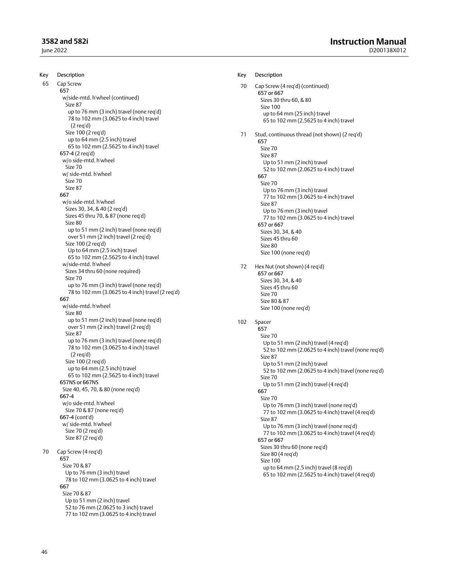### **3582 and 582i**

June 2022

Key Description 65 Cap Screw 657 w/side‐mtd. h'wheel (continued) Size 87 up to 76 mm (3 inch) travel (none req'd) 78 to 102 mm (3.0625 to 4 inch) travel (2 req'd) Size 100 (2 req'd) up to 64 mm (2.5 inch) travel 65 to 102 mm (2.5625 to 4 inch) travel 657‐4 (2 req'd) w/o side‐mtd. h'wheel Size 70 w/ side‐mtd. h'wheel Size 70 Size 87 667 w/o side‐mtd. h'wheel Sizes 30, 34, & 40 (2 req'd) Sizes 45 thru 70, & 87 (none req'd) Size 80 up to 51 mm (2 inch) travel (none req'd) over 51 mm (2 inch) travel (2 req'd) Size 100 (2 req'd) Up to 64 mm (2.5 inch) travel 65 to 102 mm (2.5625 to 4 inch) travel w/side‐mtd. h'wheel Sizes 34 thru 60 (none required) Size 70 up to 76 mm (3 inch) travel (none req'd) 78 to 102 mm (3.0625 to 4 inch) travel (2 req'd) 667 w/side‐mtd. h'wheel Size 80 up to 51 mm (2 inch) travel (none req'd) over 51 mm (2 inch) travel (2 req'd) Size 87 up to 76 mm (3 inch) travel (none req'd) 78 to 102 mm (3.0625 to 4 inch) travel (2 req'd) Size 100 (2 req'd) up to 64 mm (2.5 inch) travel 65 to 102 mm (2.5625 to 4 inch) travel 657NS or 667NS Size 40, 45, 70, & 80 (none req'd) 667‐4 w/o side‐mtd. h'wheel Size 70 & 87 (none req'd) 667‐4 (cont'd) w/ side‐mtd. h'wheel Size 70 (2 req'd) Size 87 (2 req'd) 70 Cap Screw (4 req'd) 657 Size 70 & 87 Up to 76 mm (3 inch) travel 78 to 102 mm (3.0625 to 4 inch) travel 667 Size 70 & 87 Up to 51 mm (2 inch) travel 52 to 76 mm (2.0625 to 3 inch) travel

77 to 102 mm (3.0625 to 4 inch) travel

Key Description 70 Cap Screw (4 req'd) (continued) 657 or 667 Sizes 30 thru 60, & 80 Size 100 up to 64 mm (25 inch) travel 65 to 102 mm (2.5625 to 4 inch) travel 71 Stud, continuous thread (not shown) (2 req'd) 657 Size 70 Size 87 Up to 51 mm (2 inch) travel 52 to 102 mm (2.0625 to 4 inch) travel 667 Size 70 Up to 76 mm (3 inch) travel 77 to 102 mm (3.0625 to 4 inch) travel Size 87 Up to 76 mm (3 inch) travel 77 to 102 mm (3.0625 to 4 inch) travel 657 or 667 Sizes 30, 34, & 40 Sizes 45 thru 60 Size 80 Size 100 (none req'd) 72 Hex Nut (not shown) (4 req'd) 657 or 667 Sizes 30, 34, & 40 Sizes 45 thru 60 Size 70 Size 80 & 87 Size 100 (none req'd) 102 Spacer 657 Size 70 Up to 51 mm (2 inch) travel (4 req'd) 52 to 102 mm (2.0625 to 4 inch) travel (none req'd) Size 87 Up to 51 mm (2 inch) travel 52 to 102 mm (2.0625 to 4 inch) travel (none req'd) Size 70 Up to 51 mm (2 inch) travel (4 req'd) 667 Size 70 Up to 76 mm (3 inch) travel (none req'd) 77 to 102 mm (3.0625 to 4 inch) travel (4 req'd) Size 87 Up to 76 mm (3 inch) travel (none req'd) 77 to 102 mm (3.0625 to 4 inch) travel (4 req'd) 657 or 667 Sizes 30 thru 60 (none req'd) Size 80 (4 req'd) Size 100 up to 64 mm (2.5 inch) travel (8 req'd) 65 to 102 mm (2.5625 to 4 inch) travel (4 req'd)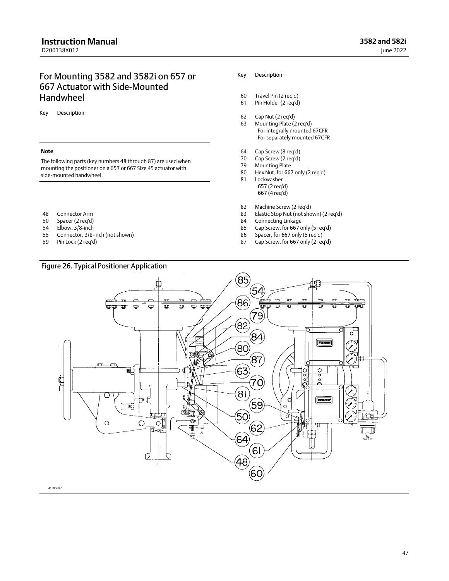## For Mounting 3582 and 3582i on 657 or 667 Actuator with Side‐Mounted Handwheel

Key Description

#### **Note**

The following parts (key numbers 48 through 87) are used when mounting the positioner on a 657 or 667 Size 45 actuator with side‐mounted handwheel.

- 48 Connector Arm
- 50 Spacer (2 req'd)
- 
- 54 Elbow, 3/8-inch<br>55 Connector, 3/8-Connector, 3/8-inch (not shown)
- 59 Pin Lock (2 req'd)

#### Key Description

- 60 Travel Pin (2 req'd) 61 Pin Holder (2 req'd)
- 
- 62 Cap Nut (2 req'd)
- 63 Mounting Plate (2 req'd) For integrally mounted 67CFR For separately mounted 67CFR
- 64 Cap Screw (8 req'd)
- 70 Cap Screw (2 req'd)
- Mounting Plate
- 80 Hex Nut, for 667 only (2 req'd) 81 Lockwasher 657 (2 req'd)
	- 667 (4 req'd)
- 82 Machine Screw (2 req'd)
- 83 Elastic Stop Nut (not shown) (2 req'd)
- 84 Connecting Linkage
- 85 Cap Screw, for 667 only (5 req'd)<br>86 Spacer, for 667 only (5 req'd)
- Spacer, for 667 only (5 req'd)
- 87 Cap Screw, for 667 only (2 req'd)